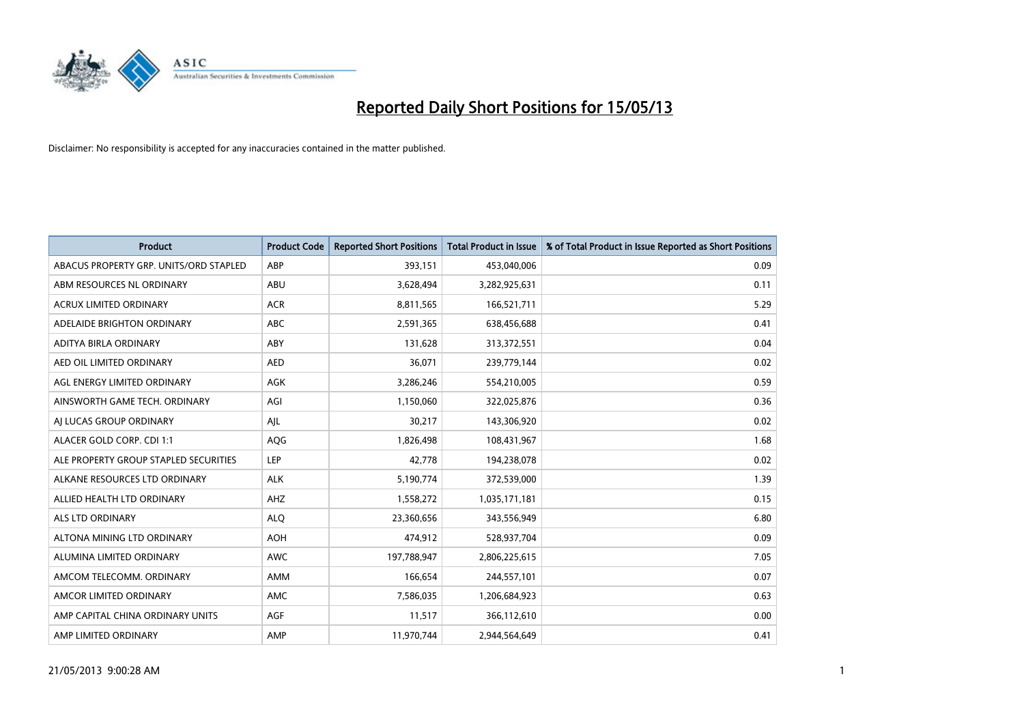

| <b>Product</b>                         | <b>Product Code</b> | <b>Reported Short Positions</b> | <b>Total Product in Issue</b> | % of Total Product in Issue Reported as Short Positions |
|----------------------------------------|---------------------|---------------------------------|-------------------------------|---------------------------------------------------------|
| ABACUS PROPERTY GRP. UNITS/ORD STAPLED | ABP                 | 393,151                         | 453,040,006                   | 0.09                                                    |
| ABM RESOURCES NL ORDINARY              | ABU                 | 3,628,494                       | 3,282,925,631                 | 0.11                                                    |
| <b>ACRUX LIMITED ORDINARY</b>          | <b>ACR</b>          | 8,811,565                       | 166,521,711                   | 5.29                                                    |
| ADELAIDE BRIGHTON ORDINARY             | <b>ABC</b>          | 2,591,365                       | 638,456,688                   | 0.41                                                    |
| ADITYA BIRLA ORDINARY                  | ABY                 | 131,628                         | 313,372,551                   | 0.04                                                    |
| AED OIL LIMITED ORDINARY               | <b>AED</b>          | 36,071                          | 239,779,144                   | 0.02                                                    |
| AGL ENERGY LIMITED ORDINARY            | AGK                 | 3,286,246                       | 554,210,005                   | 0.59                                                    |
| AINSWORTH GAME TECH. ORDINARY          | AGI                 | 1,150,060                       | 322,025,876                   | 0.36                                                    |
| AI LUCAS GROUP ORDINARY                | AJL                 | 30,217                          | 143,306,920                   | 0.02                                                    |
| ALACER GOLD CORP. CDI 1:1              | AQG                 | 1,826,498                       | 108,431,967                   | 1.68                                                    |
| ALE PROPERTY GROUP STAPLED SECURITIES  | <b>LEP</b>          | 42,778                          | 194,238,078                   | 0.02                                                    |
| ALKANE RESOURCES LTD ORDINARY          | <b>ALK</b>          | 5,190,774                       | 372,539,000                   | 1.39                                                    |
| ALLIED HEALTH LTD ORDINARY             | AHZ                 | 1,558,272                       | 1,035,171,181                 | 0.15                                                    |
| <b>ALS LTD ORDINARY</b>                | <b>ALO</b>          | 23,360,656                      | 343,556,949                   | 6.80                                                    |
| ALTONA MINING LTD ORDINARY             | <b>AOH</b>          | 474,912                         | 528,937,704                   | 0.09                                                    |
| ALUMINA LIMITED ORDINARY               | <b>AWC</b>          | 197,788,947                     | 2,806,225,615                 | 7.05                                                    |
| AMCOM TELECOMM. ORDINARY               | <b>AMM</b>          | 166,654                         | 244,557,101                   | 0.07                                                    |
| AMCOR LIMITED ORDINARY                 | <b>AMC</b>          | 7,586,035                       | 1,206,684,923                 | 0.63                                                    |
| AMP CAPITAL CHINA ORDINARY UNITS       | AGF                 | 11,517                          | 366,112,610                   | 0.00                                                    |
| AMP LIMITED ORDINARY                   | AMP                 | 11,970,744                      | 2,944,564,649                 | 0.41                                                    |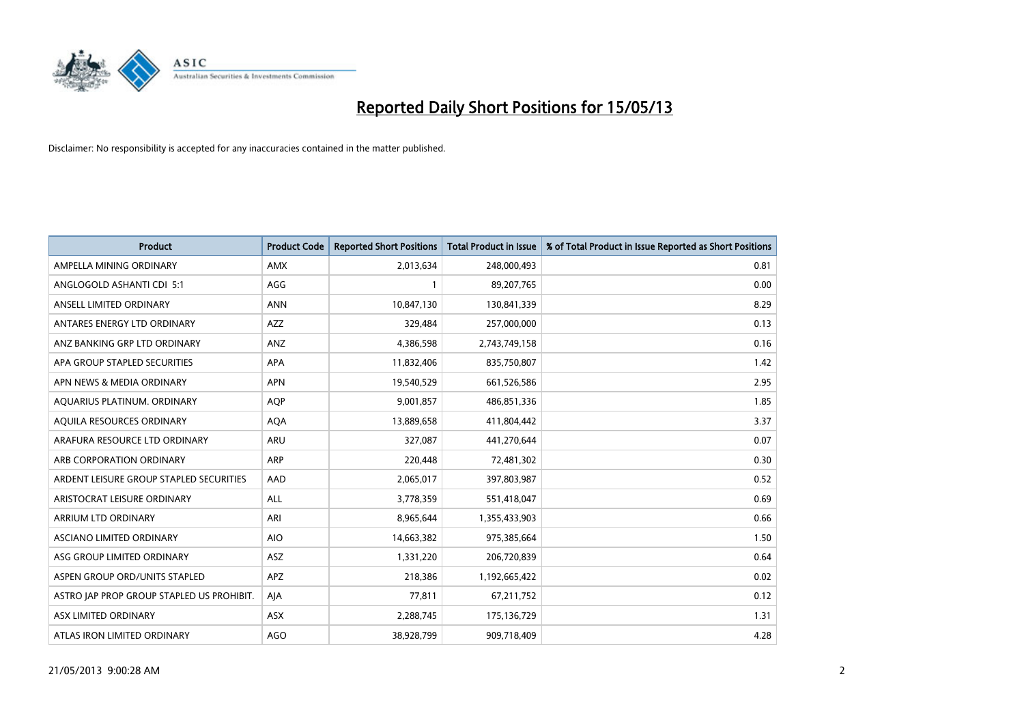

| <b>Product</b>                            | <b>Product Code</b> | <b>Reported Short Positions</b> | <b>Total Product in Issue</b> | % of Total Product in Issue Reported as Short Positions |
|-------------------------------------------|---------------------|---------------------------------|-------------------------------|---------------------------------------------------------|
| AMPELLA MINING ORDINARY                   | <b>AMX</b>          | 2,013,634                       | 248,000,493                   | 0.81                                                    |
| ANGLOGOLD ASHANTI CDI 5:1                 | AGG                 |                                 | 89,207,765                    | 0.00                                                    |
| ANSELL LIMITED ORDINARY                   | <b>ANN</b>          | 10,847,130                      | 130,841,339                   | 8.29                                                    |
| ANTARES ENERGY LTD ORDINARY               | <b>AZZ</b>          | 329,484                         | 257,000,000                   | 0.13                                                    |
| ANZ BANKING GRP LTD ORDINARY              | ANZ                 | 4,386,598                       | 2,743,749,158                 | 0.16                                                    |
| APA GROUP STAPLED SECURITIES              | <b>APA</b>          | 11,832,406                      | 835,750,807                   | 1.42                                                    |
| APN NEWS & MEDIA ORDINARY                 | <b>APN</b>          | 19,540,529                      | 661,526,586                   | 2.95                                                    |
| AQUARIUS PLATINUM. ORDINARY               | AQP                 | 9,001,857                       | 486,851,336                   | 1.85                                                    |
| AQUILA RESOURCES ORDINARY                 | <b>AQA</b>          | 13,889,658                      | 411,804,442                   | 3.37                                                    |
| ARAFURA RESOURCE LTD ORDINARY             | <b>ARU</b>          | 327,087                         | 441,270,644                   | 0.07                                                    |
| ARB CORPORATION ORDINARY                  | <b>ARP</b>          | 220.448                         | 72,481,302                    | 0.30                                                    |
| ARDENT LEISURE GROUP STAPLED SECURITIES   | AAD                 | 2,065,017                       | 397,803,987                   | 0.52                                                    |
| ARISTOCRAT LEISURE ORDINARY               | <b>ALL</b>          | 3,778,359                       | 551,418,047                   | 0.69                                                    |
| <b>ARRIUM LTD ORDINARY</b>                | ARI                 | 8,965,644                       | 1,355,433,903                 | 0.66                                                    |
| ASCIANO LIMITED ORDINARY                  | <b>AIO</b>          | 14,663,382                      | 975,385,664                   | 1.50                                                    |
| ASG GROUP LIMITED ORDINARY                | <b>ASZ</b>          | 1,331,220                       | 206,720,839                   | 0.64                                                    |
| ASPEN GROUP ORD/UNITS STAPLED             | APZ                 | 218,386                         | 1,192,665,422                 | 0.02                                                    |
| ASTRO JAP PROP GROUP STAPLED US PROHIBIT. | AJA                 | 77,811                          | 67,211,752                    | 0.12                                                    |
| ASX LIMITED ORDINARY                      | <b>ASX</b>          | 2,288,745                       | 175,136,729                   | 1.31                                                    |
| ATLAS IRON LIMITED ORDINARY               | AGO                 | 38,928,799                      | 909,718,409                   | 4.28                                                    |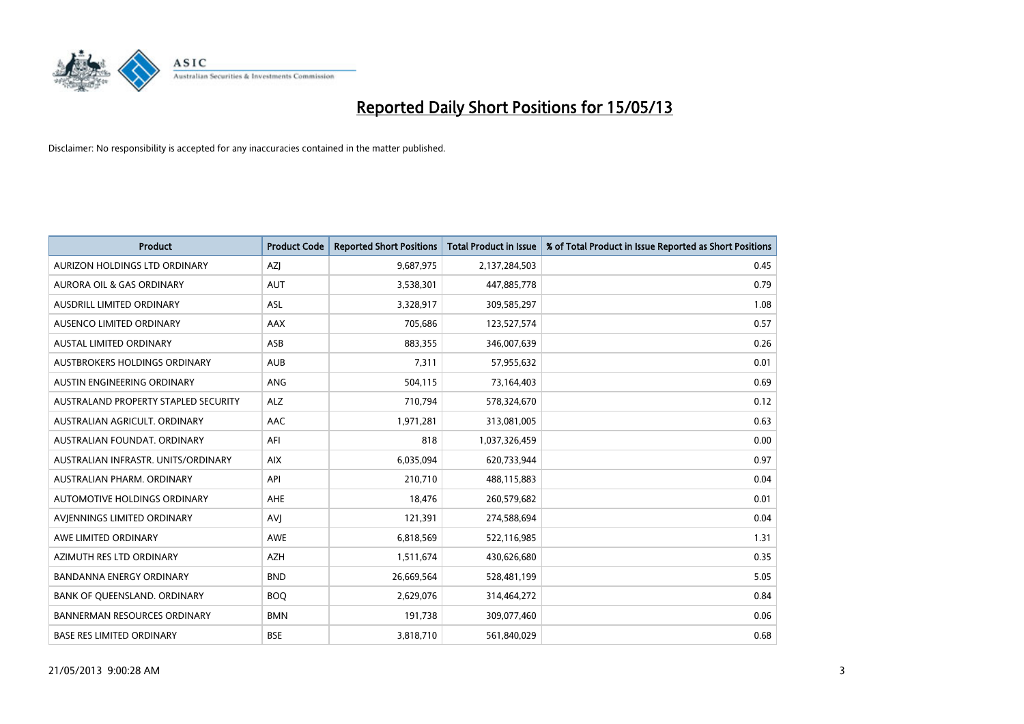

| <b>Product</b>                       | <b>Product Code</b> | <b>Reported Short Positions</b> | <b>Total Product in Issue</b> | % of Total Product in Issue Reported as Short Positions |
|--------------------------------------|---------------------|---------------------------------|-------------------------------|---------------------------------------------------------|
| AURIZON HOLDINGS LTD ORDINARY        | AZJ                 | 9,687,975                       | 2,137,284,503                 | 0.45                                                    |
| AURORA OIL & GAS ORDINARY            | <b>AUT</b>          | 3,538,301                       | 447,885,778                   | 0.79                                                    |
| <b>AUSDRILL LIMITED ORDINARY</b>     | <b>ASL</b>          | 3,328,917                       | 309,585,297                   | 1.08                                                    |
| AUSENCO LIMITED ORDINARY             | AAX                 | 705,686                         | 123,527,574                   | 0.57                                                    |
| <b>AUSTAL LIMITED ORDINARY</b>       | ASB                 | 883,355                         | 346,007,639                   | 0.26                                                    |
| AUSTBROKERS HOLDINGS ORDINARY        | <b>AUB</b>          | 7,311                           | 57,955,632                    | 0.01                                                    |
| AUSTIN ENGINEERING ORDINARY          | <b>ANG</b>          | 504,115                         | 73,164,403                    | 0.69                                                    |
| AUSTRALAND PROPERTY STAPLED SECURITY | <b>ALZ</b>          | 710,794                         | 578,324,670                   | 0.12                                                    |
| AUSTRALIAN AGRICULT, ORDINARY        | AAC                 | 1,971,281                       | 313,081,005                   | 0.63                                                    |
| AUSTRALIAN FOUNDAT, ORDINARY         | AFI                 | 818                             | 1,037,326,459                 | 0.00                                                    |
| AUSTRALIAN INFRASTR. UNITS/ORDINARY  | <b>AIX</b>          | 6,035,094                       | 620,733,944                   | 0.97                                                    |
| AUSTRALIAN PHARM, ORDINARY           | API                 | 210,710                         | 488,115,883                   | 0.04                                                    |
| AUTOMOTIVE HOLDINGS ORDINARY         | <b>AHE</b>          | 18,476                          | 260,579,682                   | 0.01                                                    |
| AVIENNINGS LIMITED ORDINARY          | AVI                 | 121,391                         | 274,588,694                   | 0.04                                                    |
| AWE LIMITED ORDINARY                 | <b>AWE</b>          | 6,818,569                       | 522,116,985                   | 1.31                                                    |
| AZIMUTH RES LTD ORDINARY             | <b>AZH</b>          | 1,511,674                       | 430,626,680                   | 0.35                                                    |
| BANDANNA ENERGY ORDINARY             | <b>BND</b>          | 26,669,564                      | 528,481,199                   | 5.05                                                    |
| BANK OF QUEENSLAND. ORDINARY         | <b>BOQ</b>          | 2,629,076                       | 314,464,272                   | 0.84                                                    |
| <b>BANNERMAN RESOURCES ORDINARY</b>  | <b>BMN</b>          | 191,738                         | 309,077,460                   | 0.06                                                    |
| <b>BASE RES LIMITED ORDINARY</b>     | <b>BSE</b>          | 3,818,710                       | 561,840,029                   | 0.68                                                    |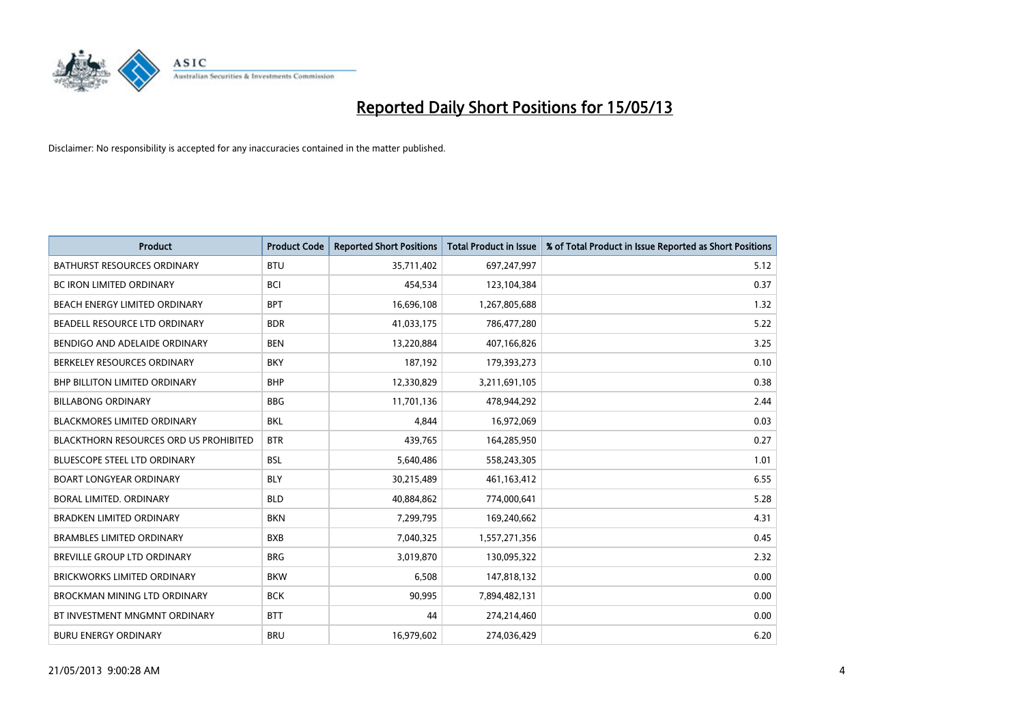

| <b>Product</b>                                | <b>Product Code</b> | <b>Reported Short Positions</b> | <b>Total Product in Issue</b> | % of Total Product in Issue Reported as Short Positions |
|-----------------------------------------------|---------------------|---------------------------------|-------------------------------|---------------------------------------------------------|
| <b>BATHURST RESOURCES ORDINARY</b>            | <b>BTU</b>          | 35,711,402                      | 697,247,997                   | 5.12                                                    |
| <b>BC IRON LIMITED ORDINARY</b>               | <b>BCI</b>          | 454,534                         | 123,104,384                   | 0.37                                                    |
| <b>BEACH ENERGY LIMITED ORDINARY</b>          | <b>BPT</b>          | 16,696,108                      | 1,267,805,688                 | 1.32                                                    |
| BEADELL RESOURCE LTD ORDINARY                 | <b>BDR</b>          | 41,033,175                      | 786,477,280                   | 5.22                                                    |
| BENDIGO AND ADELAIDE ORDINARY                 | <b>BEN</b>          | 13,220,884                      | 407,166,826                   | 3.25                                                    |
| BERKELEY RESOURCES ORDINARY                   | <b>BKY</b>          | 187,192                         | 179,393,273                   | 0.10                                                    |
| <b>BHP BILLITON LIMITED ORDINARY</b>          | <b>BHP</b>          | 12,330,829                      | 3,211,691,105                 | 0.38                                                    |
| <b>BILLABONG ORDINARY</b>                     | <b>BBG</b>          | 11,701,136                      | 478,944,292                   | 2.44                                                    |
| <b>BLACKMORES LIMITED ORDINARY</b>            | <b>BKL</b>          | 4,844                           | 16,972,069                    | 0.03                                                    |
| <b>BLACKTHORN RESOURCES ORD US PROHIBITED</b> | <b>BTR</b>          | 439.765                         | 164,285,950                   | 0.27                                                    |
| <b>BLUESCOPE STEEL LTD ORDINARY</b>           | <b>BSL</b>          | 5,640,486                       | 558,243,305                   | 1.01                                                    |
| <b>BOART LONGYEAR ORDINARY</b>                | <b>BLY</b>          | 30,215,489                      | 461,163,412                   | 6.55                                                    |
| BORAL LIMITED, ORDINARY                       | <b>BLD</b>          | 40,884,862                      | 774,000,641                   | 5.28                                                    |
| <b>BRADKEN LIMITED ORDINARY</b>               | <b>BKN</b>          | 7,299,795                       | 169,240,662                   | 4.31                                                    |
| <b>BRAMBLES LIMITED ORDINARY</b>              | <b>BXB</b>          | 7,040,325                       | 1,557,271,356                 | 0.45                                                    |
| BREVILLE GROUP LTD ORDINARY                   | <b>BRG</b>          | 3,019,870                       | 130,095,322                   | 2.32                                                    |
| <b>BRICKWORKS LIMITED ORDINARY</b>            | <b>BKW</b>          | 6,508                           | 147,818,132                   | 0.00                                                    |
| <b>BROCKMAN MINING LTD ORDINARY</b>           | <b>BCK</b>          | 90,995                          | 7,894,482,131                 | 0.00                                                    |
| BT INVESTMENT MNGMNT ORDINARY                 | <b>BTT</b>          | 44                              | 274,214,460                   | 0.00                                                    |
| <b>BURU ENERGY ORDINARY</b>                   | <b>BRU</b>          | 16,979,602                      | 274.036.429                   | 6.20                                                    |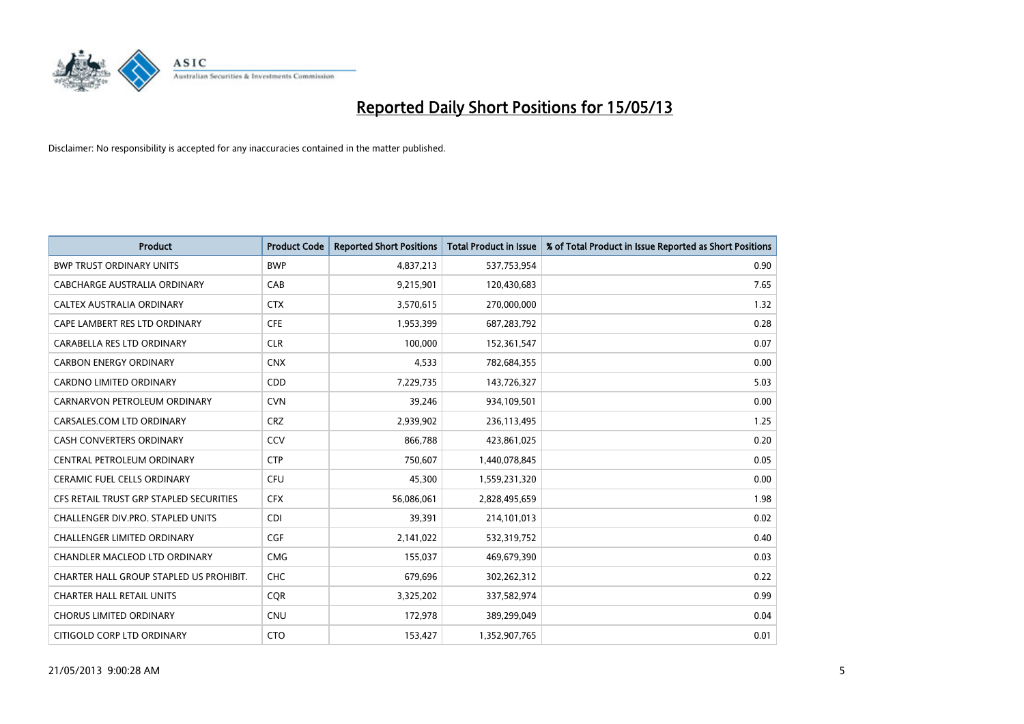

| <b>Product</b>                          | <b>Product Code</b> | <b>Reported Short Positions</b> | <b>Total Product in Issue</b> | % of Total Product in Issue Reported as Short Positions |
|-----------------------------------------|---------------------|---------------------------------|-------------------------------|---------------------------------------------------------|
| <b>BWP TRUST ORDINARY UNITS</b>         | <b>BWP</b>          | 4,837,213                       | 537,753,954                   | 0.90                                                    |
| CABCHARGE AUSTRALIA ORDINARY            | CAB                 | 9,215,901                       | 120,430,683                   | 7.65                                                    |
| <b>CALTEX AUSTRALIA ORDINARY</b>        | <b>CTX</b>          | 3,570,615                       | 270,000,000                   | 1.32                                                    |
| CAPE LAMBERT RES LTD ORDINARY           | <b>CFE</b>          | 1,953,399                       | 687,283,792                   | 0.28                                                    |
| CARABELLA RES LTD ORDINARY              | <b>CLR</b>          | 100,000                         | 152,361,547                   | 0.07                                                    |
| <b>CARBON ENERGY ORDINARY</b>           | <b>CNX</b>          | 4,533                           | 782,684,355                   | 0.00                                                    |
| <b>CARDNO LIMITED ORDINARY</b>          | CDD                 | 7,229,735                       | 143,726,327                   | 5.03                                                    |
| CARNARVON PETROLEUM ORDINARY            | <b>CVN</b>          | 39,246                          | 934,109,501                   | 0.00                                                    |
| CARSALES.COM LTD ORDINARY               | <b>CRZ</b>          | 2,939,902                       | 236,113,495                   | 1.25                                                    |
| <b>CASH CONVERTERS ORDINARY</b>         | CCV                 | 866,788                         | 423,861,025                   | 0.20                                                    |
| CENTRAL PETROLEUM ORDINARY              | <b>CTP</b>          | 750,607                         | 1,440,078,845                 | 0.05                                                    |
| <b>CERAMIC FUEL CELLS ORDINARY</b>      | <b>CFU</b>          | 45,300                          | 1,559,231,320                 | 0.00                                                    |
| CFS RETAIL TRUST GRP STAPLED SECURITIES | <b>CFX</b>          | 56,086,061                      | 2,828,495,659                 | 1.98                                                    |
| CHALLENGER DIV.PRO. STAPLED UNITS       | <b>CDI</b>          | 39,391                          | 214,101,013                   | 0.02                                                    |
| <b>CHALLENGER LIMITED ORDINARY</b>      | <b>CGF</b>          | 2,141,022                       | 532,319,752                   | 0.40                                                    |
| CHANDLER MACLEOD LTD ORDINARY           | <b>CMG</b>          | 155,037                         | 469,679,390                   | 0.03                                                    |
| CHARTER HALL GROUP STAPLED US PROHIBIT. | <b>CHC</b>          | 679,696                         | 302,262,312                   | 0.22                                                    |
| <b>CHARTER HALL RETAIL UNITS</b>        | <b>CQR</b>          | 3,325,202                       | 337,582,974                   | 0.99                                                    |
| <b>CHORUS LIMITED ORDINARY</b>          | <b>CNU</b>          | 172,978                         | 389,299,049                   | 0.04                                                    |
| CITIGOLD CORP LTD ORDINARY              | <b>CTO</b>          | 153,427                         | 1,352,907,765                 | 0.01                                                    |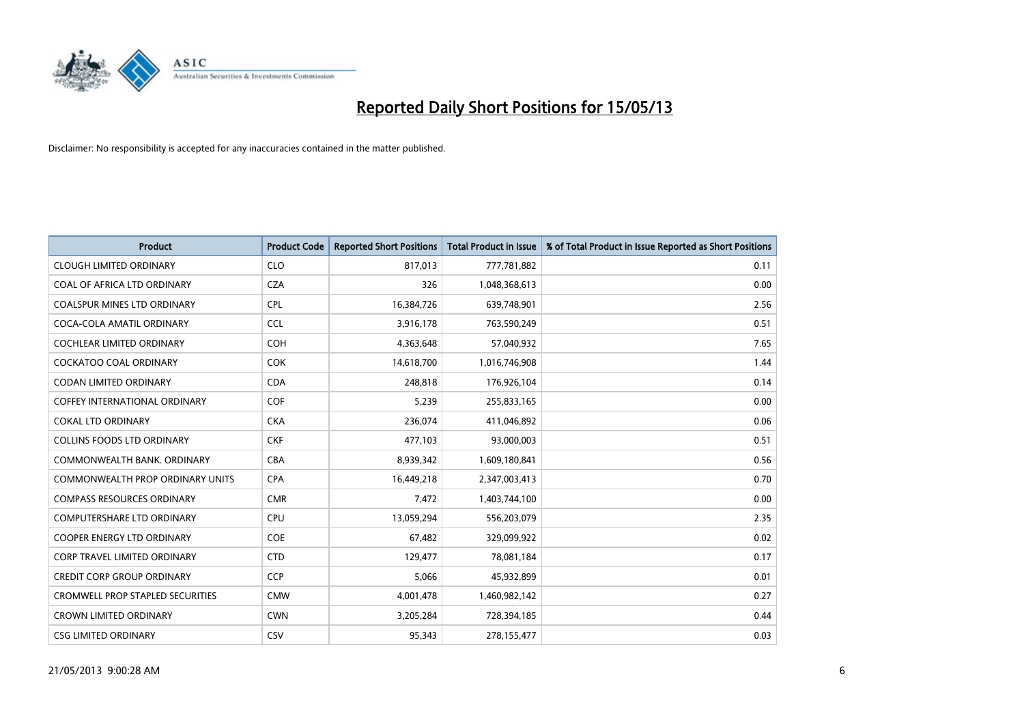

| <b>Product</b>                          | <b>Product Code</b> | <b>Reported Short Positions</b> | <b>Total Product in Issue</b> | % of Total Product in Issue Reported as Short Positions |
|-----------------------------------------|---------------------|---------------------------------|-------------------------------|---------------------------------------------------------|
| <b>CLOUGH LIMITED ORDINARY</b>          | <b>CLO</b>          | 817,013                         | 777,781,882                   | 0.11                                                    |
| COAL OF AFRICA LTD ORDINARY             | <b>CZA</b>          | 326                             | 1,048,368,613                 | 0.00                                                    |
| <b>COALSPUR MINES LTD ORDINARY</b>      | <b>CPL</b>          | 16,384,726                      | 639,748,901                   | 2.56                                                    |
| COCA-COLA AMATIL ORDINARY               | <b>CCL</b>          | 3,916,178                       | 763,590,249                   | 0.51                                                    |
| <b>COCHLEAR LIMITED ORDINARY</b>        | <b>COH</b>          | 4,363,648                       | 57,040,932                    | 7.65                                                    |
| <b>COCKATOO COAL ORDINARY</b>           | <b>COK</b>          | 14,618,700                      | 1,016,746,908                 | 1.44                                                    |
| <b>CODAN LIMITED ORDINARY</b>           | <b>CDA</b>          | 248,818                         | 176,926,104                   | 0.14                                                    |
| <b>COFFEY INTERNATIONAL ORDINARY</b>    | <b>COF</b>          | 5,239                           | 255,833,165                   | 0.00                                                    |
| <b>COKAL LTD ORDINARY</b>               | <b>CKA</b>          | 236,074                         | 411,046,892                   | 0.06                                                    |
| <b>COLLINS FOODS LTD ORDINARY</b>       | <b>CKF</b>          | 477,103                         | 93,000,003                    | 0.51                                                    |
| COMMONWEALTH BANK, ORDINARY             | <b>CBA</b>          | 8,939,342                       | 1,609,180,841                 | 0.56                                                    |
| <b>COMMONWEALTH PROP ORDINARY UNITS</b> | <b>CPA</b>          | 16,449,218                      | 2,347,003,413                 | 0.70                                                    |
| <b>COMPASS RESOURCES ORDINARY</b>       | <b>CMR</b>          | 7,472                           | 1,403,744,100                 | 0.00                                                    |
| <b>COMPUTERSHARE LTD ORDINARY</b>       | <b>CPU</b>          | 13,059,294                      | 556,203,079                   | 2.35                                                    |
| <b>COOPER ENERGY LTD ORDINARY</b>       | <b>COE</b>          | 67,482                          | 329,099,922                   | 0.02                                                    |
| CORP TRAVEL LIMITED ORDINARY            | <b>CTD</b>          | 129,477                         | 78,081,184                    | 0.17                                                    |
| <b>CREDIT CORP GROUP ORDINARY</b>       | <b>CCP</b>          | 5,066                           | 45,932,899                    | 0.01                                                    |
| <b>CROMWELL PROP STAPLED SECURITIES</b> | <b>CMW</b>          | 4,001,478                       | 1,460,982,142                 | 0.27                                                    |
| <b>CROWN LIMITED ORDINARY</b>           | <b>CWN</b>          | 3,205,284                       | 728,394,185                   | 0.44                                                    |
| <b>CSG LIMITED ORDINARY</b>             | CSV                 | 95,343                          | 278,155,477                   | 0.03                                                    |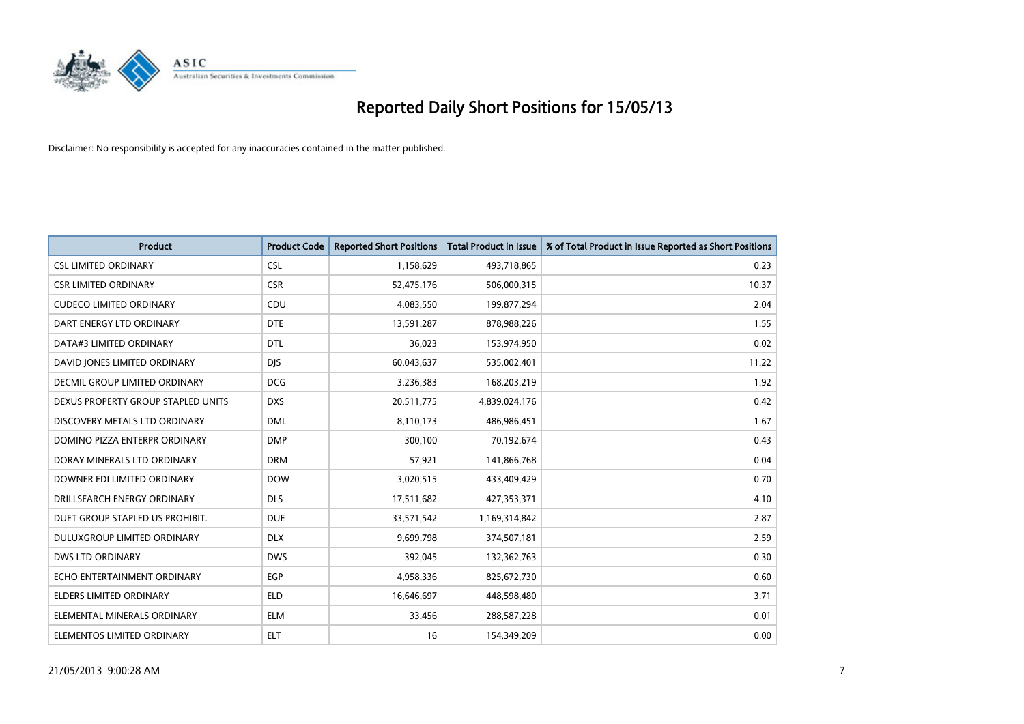

| <b>Product</b>                     | <b>Product Code</b> | <b>Reported Short Positions</b> | <b>Total Product in Issue</b> | % of Total Product in Issue Reported as Short Positions |
|------------------------------------|---------------------|---------------------------------|-------------------------------|---------------------------------------------------------|
| <b>CSL LIMITED ORDINARY</b>        | <b>CSL</b>          | 1,158,629                       | 493,718,865                   | 0.23                                                    |
| <b>CSR LIMITED ORDINARY</b>        | <b>CSR</b>          | 52,475,176                      | 506,000,315                   | 10.37                                                   |
| <b>CUDECO LIMITED ORDINARY</b>     | CDU                 | 4,083,550                       | 199,877,294                   | 2.04                                                    |
| DART ENERGY LTD ORDINARY           | <b>DTE</b>          | 13,591,287                      | 878,988,226                   | 1.55                                                    |
| DATA#3 LIMITED ORDINARY            | <b>DTL</b>          | 36,023                          | 153,974,950                   | 0.02                                                    |
| DAVID JONES LIMITED ORDINARY       | <b>DIS</b>          | 60,043,637                      | 535,002,401                   | 11.22                                                   |
| DECMIL GROUP LIMITED ORDINARY      | <b>DCG</b>          | 3,236,383                       | 168,203,219                   | 1.92                                                    |
| DEXUS PROPERTY GROUP STAPLED UNITS | <b>DXS</b>          | 20,511,775                      | 4,839,024,176                 | 0.42                                                    |
| DISCOVERY METALS LTD ORDINARY      | <b>DML</b>          | 8,110,173                       | 486,986,451                   | 1.67                                                    |
| DOMINO PIZZA ENTERPR ORDINARY      | <b>DMP</b>          | 300,100                         | 70,192,674                    | 0.43                                                    |
| DORAY MINERALS LTD ORDINARY        | <b>DRM</b>          | 57,921                          | 141,866,768                   | 0.04                                                    |
| DOWNER EDI LIMITED ORDINARY        | <b>DOW</b>          | 3,020,515                       | 433,409,429                   | 0.70                                                    |
| DRILLSEARCH ENERGY ORDINARY        | <b>DLS</b>          | 17,511,682                      | 427,353,371                   | 4.10                                                    |
| DUET GROUP STAPLED US PROHIBIT.    | <b>DUE</b>          | 33,571,542                      | 1,169,314,842                 | 2.87                                                    |
| DULUXGROUP LIMITED ORDINARY        | <b>DLX</b>          | 9,699,798                       | 374,507,181                   | 2.59                                                    |
| <b>DWS LTD ORDINARY</b>            | <b>DWS</b>          | 392,045                         | 132,362,763                   | 0.30                                                    |
| ECHO ENTERTAINMENT ORDINARY        | <b>EGP</b>          | 4,958,336                       | 825,672,730                   | 0.60                                                    |
| ELDERS LIMITED ORDINARY            | <b>ELD</b>          | 16,646,697                      | 448,598,480                   | 3.71                                                    |
| ELEMENTAL MINERALS ORDINARY        | <b>ELM</b>          | 33,456                          | 288,587,228                   | 0.01                                                    |
| ELEMENTOS LIMITED ORDINARY         | <b>ELT</b>          | 16                              | 154,349,209                   | 0.00                                                    |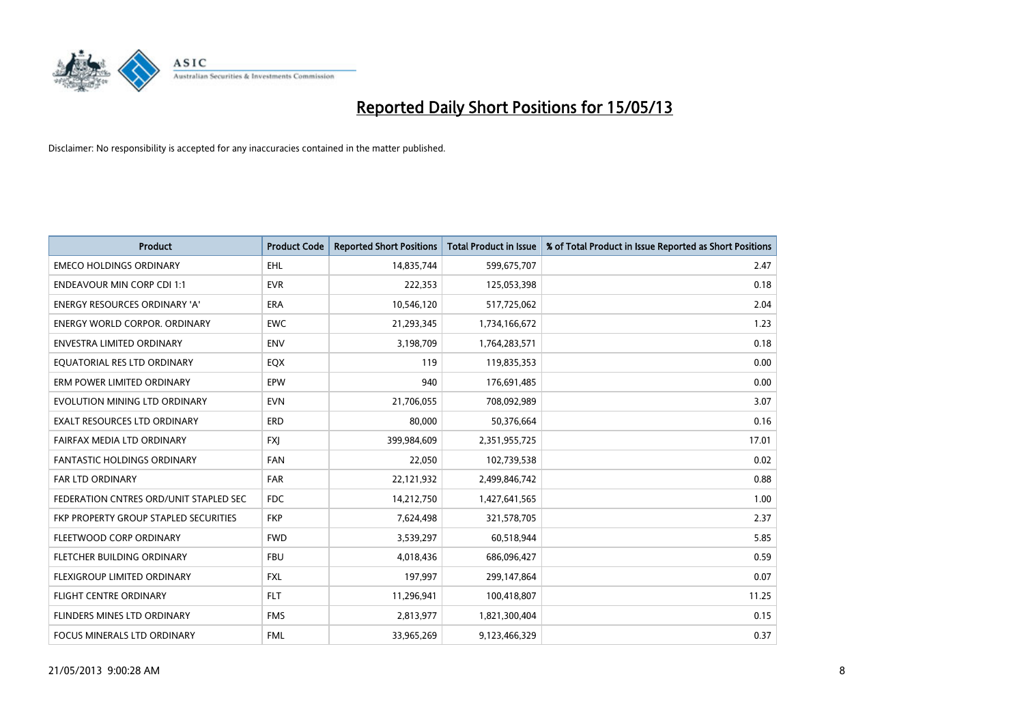

| <b>Product</b>                         | <b>Product Code</b> | <b>Reported Short Positions</b> | <b>Total Product in Issue</b> | % of Total Product in Issue Reported as Short Positions |
|----------------------------------------|---------------------|---------------------------------|-------------------------------|---------------------------------------------------------|
| <b>EMECO HOLDINGS ORDINARY</b>         | <b>EHL</b>          | 14,835,744                      | 599,675,707                   | 2.47                                                    |
| <b>ENDEAVOUR MIN CORP CDI 1:1</b>      | <b>EVR</b>          | 222,353                         | 125,053,398                   | 0.18                                                    |
| <b>ENERGY RESOURCES ORDINARY 'A'</b>   | <b>ERA</b>          | 10,546,120                      | 517,725,062                   | 2.04                                                    |
| ENERGY WORLD CORPOR. ORDINARY          | <b>EWC</b>          | 21,293,345                      | 1,734,166,672                 | 1.23                                                    |
| <b>ENVESTRA LIMITED ORDINARY</b>       | <b>ENV</b>          | 3,198,709                       | 1,764,283,571                 | 0.18                                                    |
| EQUATORIAL RES LTD ORDINARY            | EQX                 | 119                             | 119,835,353                   | 0.00                                                    |
| ERM POWER LIMITED ORDINARY             | EPW                 | 940                             | 176,691,485                   | 0.00                                                    |
| EVOLUTION MINING LTD ORDINARY          | <b>EVN</b>          | 21,706,055                      | 708,092,989                   | 3.07                                                    |
| <b>EXALT RESOURCES LTD ORDINARY</b>    | ERD                 | 80,000                          | 50,376,664                    | 0.16                                                    |
| FAIRFAX MEDIA LTD ORDINARY             | <b>FXI</b>          | 399,984,609                     | 2,351,955,725                 | 17.01                                                   |
| <b>FANTASTIC HOLDINGS ORDINARY</b>     | <b>FAN</b>          | 22,050                          | 102,739,538                   | 0.02                                                    |
| FAR LTD ORDINARY                       | <b>FAR</b>          | 22,121,932                      | 2,499,846,742                 | 0.88                                                    |
| FEDERATION CNTRES ORD/UNIT STAPLED SEC | <b>FDC</b>          | 14,212,750                      | 1,427,641,565                 | 1.00                                                    |
| FKP PROPERTY GROUP STAPLED SECURITIES  | <b>FKP</b>          | 7,624,498                       | 321,578,705                   | 2.37                                                    |
| FLEETWOOD CORP ORDINARY                | <b>FWD</b>          | 3,539,297                       | 60,518,944                    | 5.85                                                    |
| FLETCHER BUILDING ORDINARY             | <b>FBU</b>          | 4,018,436                       | 686,096,427                   | 0.59                                                    |
| <b>FLEXIGROUP LIMITED ORDINARY</b>     | <b>FXL</b>          | 197,997                         | 299,147,864                   | 0.07                                                    |
| <b>FLIGHT CENTRE ORDINARY</b>          | <b>FLT</b>          | 11,296,941                      | 100,418,807                   | 11.25                                                   |
| FLINDERS MINES LTD ORDINARY            | <b>FMS</b>          | 2,813,977                       | 1,821,300,404                 | 0.15                                                    |
| FOCUS MINERALS LTD ORDINARY            | <b>FML</b>          | 33,965,269                      | 9,123,466,329                 | 0.37                                                    |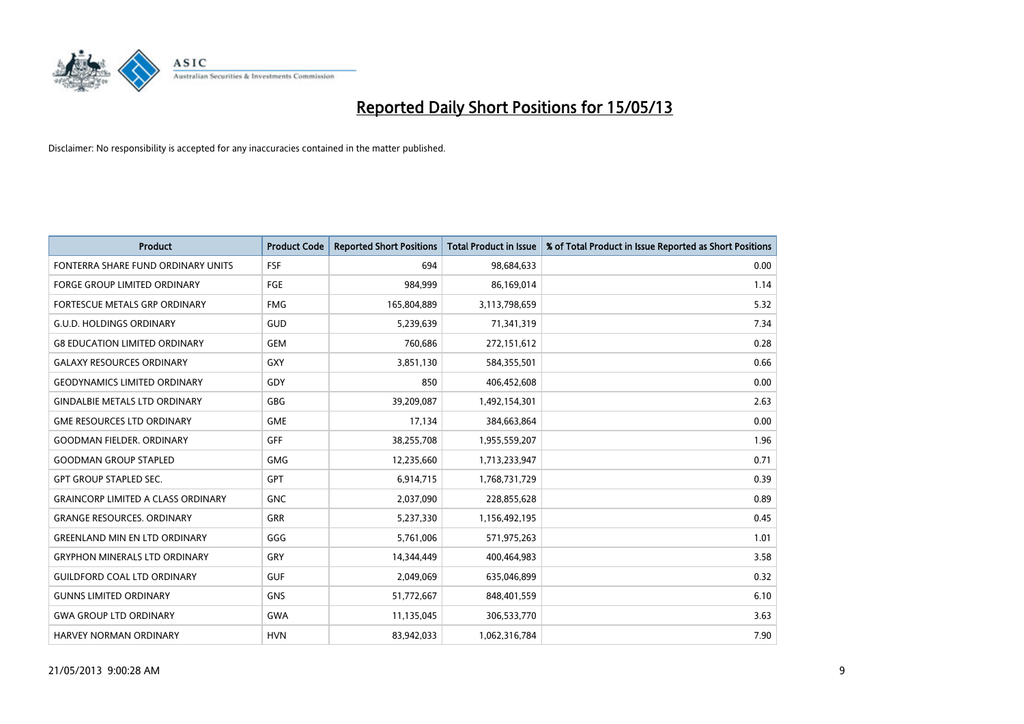

| <b>Product</b>                            | <b>Product Code</b> | <b>Reported Short Positions</b> | <b>Total Product in Issue</b> | % of Total Product in Issue Reported as Short Positions |
|-------------------------------------------|---------------------|---------------------------------|-------------------------------|---------------------------------------------------------|
| FONTERRA SHARE FUND ORDINARY UNITS        | <b>FSF</b>          | 694                             | 98,684,633                    | 0.00                                                    |
| FORGE GROUP LIMITED ORDINARY              | <b>FGE</b>          | 984,999                         | 86,169,014                    | 1.14                                                    |
| <b>FORTESCUE METALS GRP ORDINARY</b>      | <b>FMG</b>          | 165,804,889                     | 3,113,798,659                 | 5.32                                                    |
| <b>G.U.D. HOLDINGS ORDINARY</b>           | GUD                 | 5,239,639                       | 71,341,319                    | 7.34                                                    |
| <b>G8 EDUCATION LIMITED ORDINARY</b>      | GEM                 | 760,686                         | 272,151,612                   | 0.28                                                    |
| <b>GALAXY RESOURCES ORDINARY</b>          | GXY                 | 3,851,130                       | 584,355,501                   | 0.66                                                    |
| <b>GEODYNAMICS LIMITED ORDINARY</b>       | GDY                 | 850                             | 406,452,608                   | 0.00                                                    |
| <b>GINDALBIE METALS LTD ORDINARY</b>      | <b>GBG</b>          | 39,209,087                      | 1,492,154,301                 | 2.63                                                    |
| <b>GME RESOURCES LTD ORDINARY</b>         | <b>GME</b>          | 17,134                          | 384,663,864                   | 0.00                                                    |
| <b>GOODMAN FIELDER, ORDINARY</b>          | <b>GFF</b>          | 38,255,708                      | 1,955,559,207                 | 1.96                                                    |
| <b>GOODMAN GROUP STAPLED</b>              | <b>GMG</b>          | 12,235,660                      | 1,713,233,947                 | 0.71                                                    |
| <b>GPT GROUP STAPLED SEC.</b>             | <b>GPT</b>          | 6,914,715                       | 1,768,731,729                 | 0.39                                                    |
| <b>GRAINCORP LIMITED A CLASS ORDINARY</b> | <b>GNC</b>          | 2,037,090                       | 228,855,628                   | 0.89                                                    |
| <b>GRANGE RESOURCES, ORDINARY</b>         | <b>GRR</b>          | 5,237,330                       | 1,156,492,195                 | 0.45                                                    |
| <b>GREENLAND MIN EN LTD ORDINARY</b>      | GGG                 | 5,761,006                       | 571,975,263                   | 1.01                                                    |
| <b>GRYPHON MINERALS LTD ORDINARY</b>      | GRY                 | 14,344,449                      | 400,464,983                   | 3.58                                                    |
| <b>GUILDFORD COAL LTD ORDINARY</b>        | <b>GUF</b>          | 2,049,069                       | 635,046,899                   | 0.32                                                    |
| <b>GUNNS LIMITED ORDINARY</b>             | <b>GNS</b>          | 51,772,667                      | 848,401,559                   | 6.10                                                    |
| <b>GWA GROUP LTD ORDINARY</b>             | <b>GWA</b>          | 11,135,045                      | 306,533,770                   | 3.63                                                    |
| HARVEY NORMAN ORDINARY                    | <b>HVN</b>          | 83,942,033                      | 1,062,316,784                 | 7.90                                                    |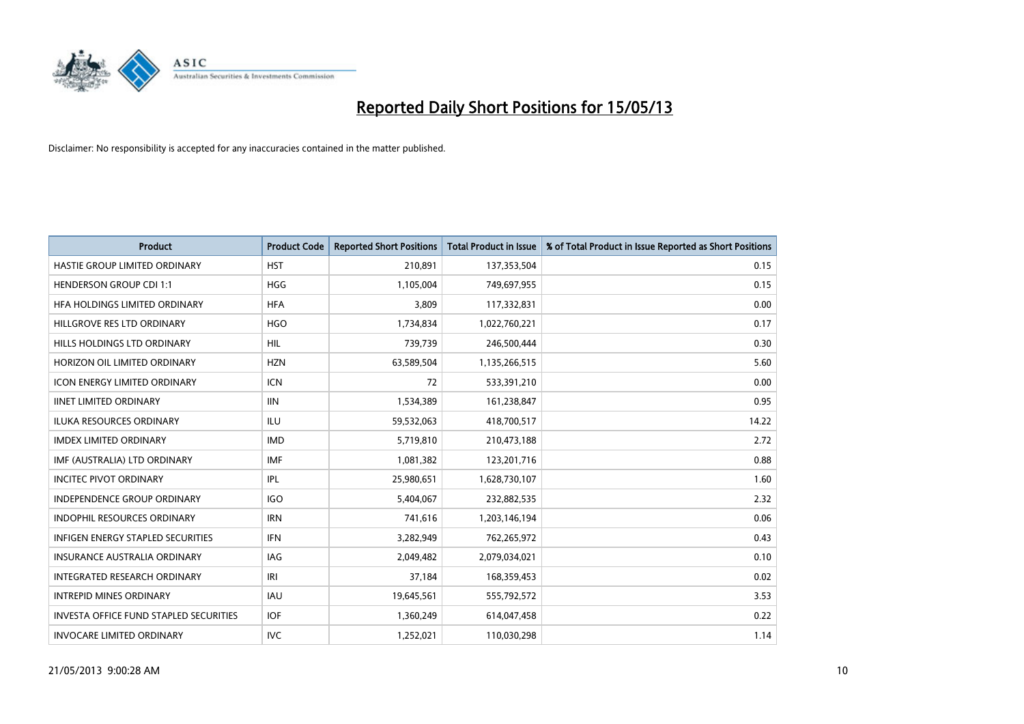

| <b>Product</b>                                | <b>Product Code</b> | <b>Reported Short Positions</b> | <b>Total Product in Issue</b> | % of Total Product in Issue Reported as Short Positions |
|-----------------------------------------------|---------------------|---------------------------------|-------------------------------|---------------------------------------------------------|
| HASTIE GROUP LIMITED ORDINARY                 | <b>HST</b>          | 210,891                         | 137,353,504                   | 0.15                                                    |
| <b>HENDERSON GROUP CDI 1:1</b>                | <b>HGG</b>          | 1,105,004                       | 749,697,955                   | 0.15                                                    |
| HFA HOLDINGS LIMITED ORDINARY                 | <b>HFA</b>          | 3.809                           | 117,332,831                   | 0.00                                                    |
| HILLGROVE RES LTD ORDINARY                    | <b>HGO</b>          | 1,734,834                       | 1,022,760,221                 | 0.17                                                    |
| HILLS HOLDINGS LTD ORDINARY                   | <b>HIL</b>          | 739,739                         | 246,500,444                   | 0.30                                                    |
| HORIZON OIL LIMITED ORDINARY                  | <b>HZN</b>          | 63,589,504                      | 1,135,266,515                 | 5.60                                                    |
| <b>ICON ENERGY LIMITED ORDINARY</b>           | <b>ICN</b>          | 72                              | 533,391,210                   | 0.00                                                    |
| <b>IINET LIMITED ORDINARY</b>                 | <b>IIN</b>          | 1,534,389                       | 161,238,847                   | 0.95                                                    |
| <b>ILUKA RESOURCES ORDINARY</b>               | ILU                 | 59,532,063                      | 418,700,517                   | 14.22                                                   |
| <b>IMDEX LIMITED ORDINARY</b>                 | <b>IMD</b>          | 5,719,810                       | 210,473,188                   | 2.72                                                    |
| IMF (AUSTRALIA) LTD ORDINARY                  | <b>IMF</b>          | 1,081,382                       | 123,201,716                   | 0.88                                                    |
| <b>INCITEC PIVOT ORDINARY</b>                 | IPL                 | 25,980,651                      | 1,628,730,107                 | 1.60                                                    |
| INDEPENDENCE GROUP ORDINARY                   | <b>IGO</b>          | 5,404,067                       | 232,882,535                   | 2.32                                                    |
| INDOPHIL RESOURCES ORDINARY                   | <b>IRN</b>          | 741,616                         | 1,203,146,194                 | 0.06                                                    |
| <b>INFIGEN ENERGY STAPLED SECURITIES</b>      | <b>IFN</b>          | 3,282,949                       | 762,265,972                   | 0.43                                                    |
| INSURANCE AUSTRALIA ORDINARY                  | IAG                 | 2,049,482                       | 2,079,034,021                 | 0.10                                                    |
| INTEGRATED RESEARCH ORDINARY                  | IRI                 | 37,184                          | 168,359,453                   | 0.02                                                    |
| <b>INTREPID MINES ORDINARY</b>                | <b>IAU</b>          | 19,645,561                      | 555,792,572                   | 3.53                                                    |
| <b>INVESTA OFFICE FUND STAPLED SECURITIES</b> | <b>IOF</b>          | 1,360,249                       | 614,047,458                   | 0.22                                                    |
| <b>INVOCARE LIMITED ORDINARY</b>              | IVC                 | 1,252,021                       | 110,030,298                   | 1.14                                                    |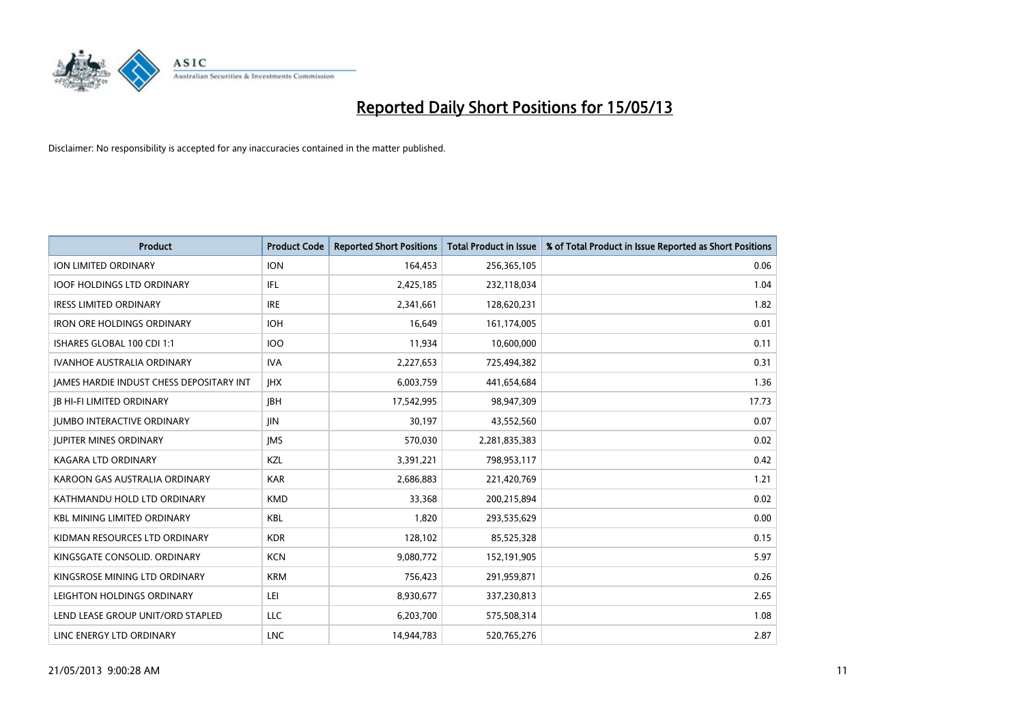

| <b>Product</b>                           | <b>Product Code</b> | <b>Reported Short Positions</b> | <b>Total Product in Issue</b> | % of Total Product in Issue Reported as Short Positions |
|------------------------------------------|---------------------|---------------------------------|-------------------------------|---------------------------------------------------------|
| <b>ION LIMITED ORDINARY</b>              | <b>ION</b>          | 164,453                         | 256,365,105                   | 0.06                                                    |
| <b>IOOF HOLDINGS LTD ORDINARY</b>        | IFL                 | 2,425,185                       | 232,118,034                   | 1.04                                                    |
| <b>IRESS LIMITED ORDINARY</b>            | <b>IRE</b>          | 2,341,661                       | 128,620,231                   | 1.82                                                    |
| <b>IRON ORE HOLDINGS ORDINARY</b>        | <b>IOH</b>          | 16,649                          | 161,174,005                   | 0.01                                                    |
| ISHARES GLOBAL 100 CDI 1:1               | 100                 | 11,934                          | 10,600,000                    | 0.11                                                    |
| <b>IVANHOE AUSTRALIA ORDINARY</b>        | <b>IVA</b>          | 2,227,653                       | 725,494,382                   | 0.31                                                    |
| JAMES HARDIE INDUST CHESS DEPOSITARY INT | <b>IHX</b>          | 6,003,759                       | 441,654,684                   | 1.36                                                    |
| <b>JB HI-FI LIMITED ORDINARY</b>         | <b>IBH</b>          | 17,542,995                      | 98,947,309                    | 17.73                                                   |
| <b>JUMBO INTERACTIVE ORDINARY</b>        | <b>IIN</b>          | 30,197                          | 43,552,560                    | 0.07                                                    |
| <b>JUPITER MINES ORDINARY</b>            | <b>IMS</b>          | 570,030                         | 2,281,835,383                 | 0.02                                                    |
| KAGARA LTD ORDINARY                      | KZL                 | 3,391,221                       | 798,953,117                   | 0.42                                                    |
| KAROON GAS AUSTRALIA ORDINARY            | <b>KAR</b>          | 2,686,883                       | 221,420,769                   | 1.21                                                    |
| KATHMANDU HOLD LTD ORDINARY              | <b>KMD</b>          | 33,368                          | 200,215,894                   | 0.02                                                    |
| <b>KBL MINING LIMITED ORDINARY</b>       | <b>KBL</b>          | 1,820                           | 293,535,629                   | 0.00                                                    |
| KIDMAN RESOURCES LTD ORDINARY            | <b>KDR</b>          | 128,102                         | 85,525,328                    | 0.15                                                    |
| KINGSGATE CONSOLID. ORDINARY             | <b>KCN</b>          | 9,080,772                       | 152,191,905                   | 5.97                                                    |
| KINGSROSE MINING LTD ORDINARY            | <b>KRM</b>          | 756,423                         | 291,959,871                   | 0.26                                                    |
| LEIGHTON HOLDINGS ORDINARY               | LEI                 | 8,930,677                       | 337,230,813                   | 2.65                                                    |
| LEND LEASE GROUP UNIT/ORD STAPLED        | <b>LLC</b>          | 6,203,700                       | 575,508,314                   | 1.08                                                    |
| LINC ENERGY LTD ORDINARY                 | <b>LNC</b>          | 14,944,783                      | 520,765,276                   | 2.87                                                    |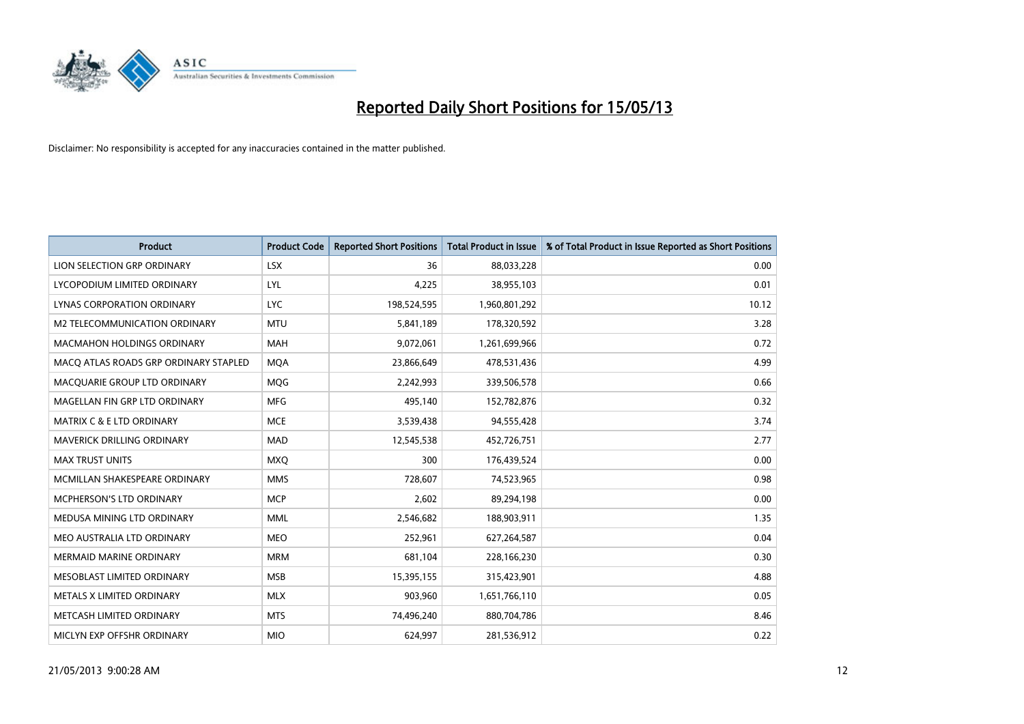

| <b>Product</b>                        | <b>Product Code</b> | <b>Reported Short Positions</b> | <b>Total Product in Issue</b> | % of Total Product in Issue Reported as Short Positions |
|---------------------------------------|---------------------|---------------------------------|-------------------------------|---------------------------------------------------------|
| LION SELECTION GRP ORDINARY           | <b>LSX</b>          | 36                              | 88,033,228                    | 0.00                                                    |
| LYCOPODIUM LIMITED ORDINARY           | LYL                 | 4,225                           | 38,955,103                    | 0.01                                                    |
| <b>LYNAS CORPORATION ORDINARY</b>     | <b>LYC</b>          | 198,524,595                     | 1,960,801,292                 | 10.12                                                   |
| M2 TELECOMMUNICATION ORDINARY         | <b>MTU</b>          | 5,841,189                       | 178,320,592                   | 3.28                                                    |
| <b>MACMAHON HOLDINGS ORDINARY</b>     | <b>MAH</b>          | 9,072,061                       | 1,261,699,966                 | 0.72                                                    |
| MACQ ATLAS ROADS GRP ORDINARY STAPLED | <b>MOA</b>          | 23,866,649                      | 478,531,436                   | 4.99                                                    |
| MACQUARIE GROUP LTD ORDINARY          | <b>MOG</b>          | 2,242,993                       | 339,506,578                   | 0.66                                                    |
| MAGELLAN FIN GRP LTD ORDINARY         | <b>MFG</b>          | 495,140                         | 152,782,876                   | 0.32                                                    |
| <b>MATRIX C &amp; E LTD ORDINARY</b>  | <b>MCE</b>          | 3,539,438                       | 94,555,428                    | 3.74                                                    |
| <b>MAVERICK DRILLING ORDINARY</b>     | <b>MAD</b>          | 12,545,538                      | 452,726,751                   | 2.77                                                    |
| <b>MAX TRUST UNITS</b>                | <b>MXO</b>          | 300                             | 176,439,524                   | 0.00                                                    |
| MCMILLAN SHAKESPEARE ORDINARY         | <b>MMS</b>          | 728,607                         | 74,523,965                    | 0.98                                                    |
| MCPHERSON'S LTD ORDINARY              | <b>MCP</b>          | 2,602                           | 89,294,198                    | 0.00                                                    |
| MEDUSA MINING LTD ORDINARY            | <b>MML</b>          | 2,546,682                       | 188,903,911                   | 1.35                                                    |
| MEO AUSTRALIA LTD ORDINARY            | <b>MEO</b>          | 252,961                         | 627,264,587                   | 0.04                                                    |
| <b>MERMAID MARINE ORDINARY</b>        | <b>MRM</b>          | 681,104                         | 228,166,230                   | 0.30                                                    |
| MESOBLAST LIMITED ORDINARY            | <b>MSB</b>          | 15,395,155                      | 315,423,901                   | 4.88                                                    |
| METALS X LIMITED ORDINARY             | <b>MLX</b>          | 903,960                         | 1,651,766,110                 | 0.05                                                    |
| METCASH LIMITED ORDINARY              | <b>MTS</b>          | 74,496,240                      | 880,704,786                   | 8.46                                                    |
| MICLYN EXP OFFSHR ORDINARY            | <b>MIO</b>          | 624.997                         | 281,536,912                   | 0.22                                                    |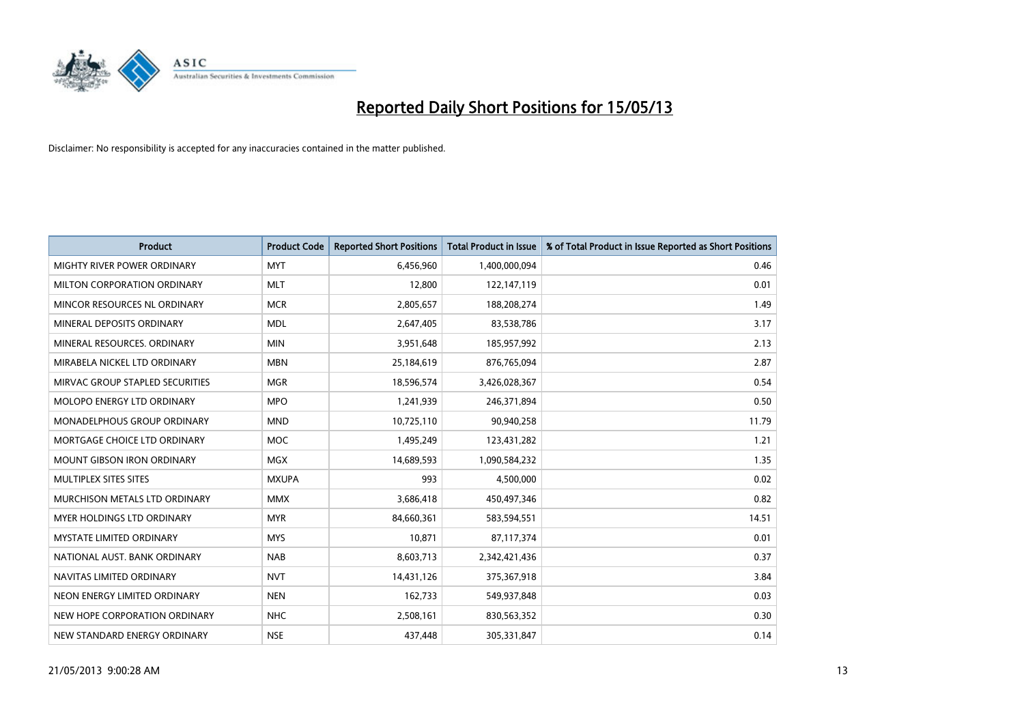

| <b>Product</b>                     | <b>Product Code</b> | <b>Reported Short Positions</b> | <b>Total Product in Issue</b> | % of Total Product in Issue Reported as Short Positions |
|------------------------------------|---------------------|---------------------------------|-------------------------------|---------------------------------------------------------|
| <b>MIGHTY RIVER POWER ORDINARY</b> | <b>MYT</b>          | 6,456,960                       | 1,400,000,094                 | 0.46                                                    |
| MILTON CORPORATION ORDINARY        | <b>MLT</b>          | 12,800                          | 122,147,119                   | 0.01                                                    |
| MINCOR RESOURCES NL ORDINARY       | <b>MCR</b>          | 2,805,657                       | 188,208,274                   | 1.49                                                    |
| MINERAL DEPOSITS ORDINARY          | <b>MDL</b>          | 2,647,405                       | 83,538,786                    | 3.17                                                    |
| MINERAL RESOURCES, ORDINARY        | <b>MIN</b>          | 3,951,648                       | 185,957,992                   | 2.13                                                    |
| MIRABELA NICKEL LTD ORDINARY       | <b>MBN</b>          | 25,184,619                      | 876,765,094                   | 2.87                                                    |
| MIRVAC GROUP STAPLED SECURITIES    | <b>MGR</b>          | 18,596,574                      | 3,426,028,367                 | 0.54                                                    |
| MOLOPO ENERGY LTD ORDINARY         | <b>MPO</b>          | 1,241,939                       | 246,371,894                   | 0.50                                                    |
| MONADELPHOUS GROUP ORDINARY        | <b>MND</b>          | 10,725,110                      | 90,940,258                    | 11.79                                                   |
| MORTGAGE CHOICE LTD ORDINARY       | <b>MOC</b>          | 1,495,249                       | 123,431,282                   | 1.21                                                    |
| MOUNT GIBSON IRON ORDINARY         | <b>MGX</b>          | 14,689,593                      | 1,090,584,232                 | 1.35                                                    |
| MULTIPLEX SITES SITES              | <b>MXUPA</b>        | 993                             | 4,500,000                     | 0.02                                                    |
| MURCHISON METALS LTD ORDINARY      | <b>MMX</b>          | 3,686,418                       | 450,497,346                   | 0.82                                                    |
| <b>MYER HOLDINGS LTD ORDINARY</b>  | <b>MYR</b>          | 84,660,361                      | 583,594,551                   | 14.51                                                   |
| <b>MYSTATE LIMITED ORDINARY</b>    | <b>MYS</b>          | 10,871                          | 87,117,374                    | 0.01                                                    |
| NATIONAL AUST. BANK ORDINARY       | <b>NAB</b>          | 8,603,713                       | 2,342,421,436                 | 0.37                                                    |
| NAVITAS LIMITED ORDINARY           | <b>NVT</b>          | 14,431,126                      | 375,367,918                   | 3.84                                                    |
| NEON ENERGY LIMITED ORDINARY       | <b>NEN</b>          | 162,733                         | 549,937,848                   | 0.03                                                    |
| NEW HOPE CORPORATION ORDINARY      | NHC                 | 2,508,161                       | 830,563,352                   | 0.30                                                    |
| NEW STANDARD ENERGY ORDINARY       | <b>NSE</b>          | 437,448                         | 305,331,847                   | 0.14                                                    |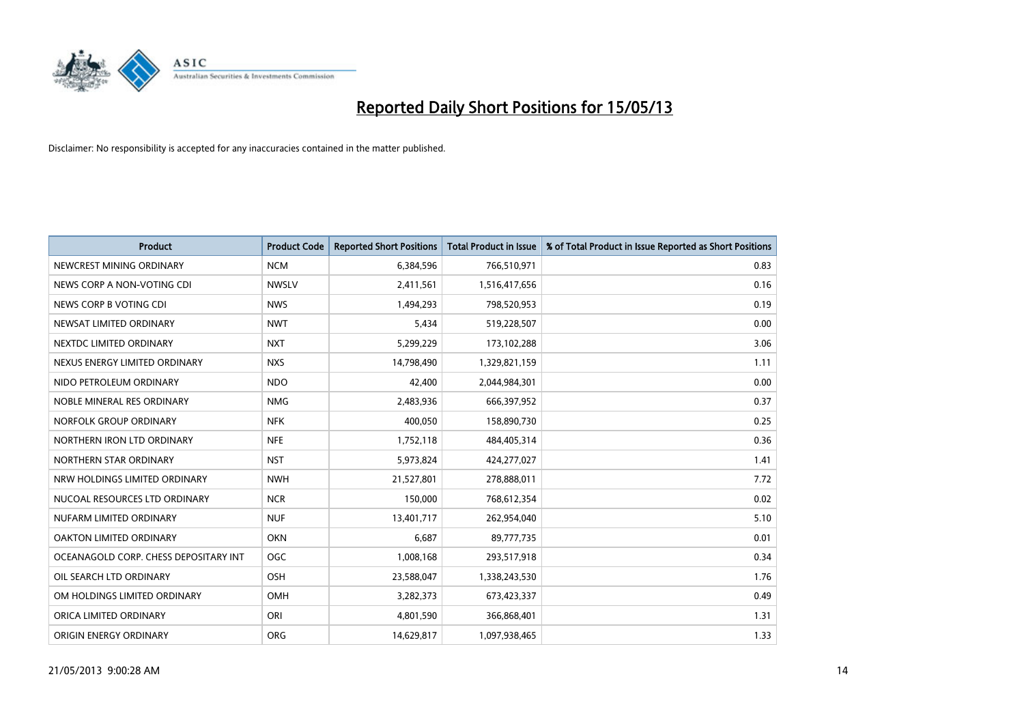

| <b>Product</b>                        | <b>Product Code</b> | <b>Reported Short Positions</b> | <b>Total Product in Issue</b> | % of Total Product in Issue Reported as Short Positions |
|---------------------------------------|---------------------|---------------------------------|-------------------------------|---------------------------------------------------------|
| NEWCREST MINING ORDINARY              | <b>NCM</b>          | 6,384,596                       | 766,510,971                   | 0.83                                                    |
| NEWS CORP A NON-VOTING CDI            | <b>NWSLV</b>        | 2,411,561                       | 1,516,417,656                 | 0.16                                                    |
| NEWS CORP B VOTING CDI                | <b>NWS</b>          | 1,494,293                       | 798,520,953                   | 0.19                                                    |
| NEWSAT LIMITED ORDINARY               | <b>NWT</b>          | 5,434                           | 519,228,507                   | 0.00                                                    |
| NEXTDC LIMITED ORDINARY               | <b>NXT</b>          | 5,299,229                       | 173,102,288                   | 3.06                                                    |
| NEXUS ENERGY LIMITED ORDINARY         | <b>NXS</b>          | 14,798,490                      | 1,329,821,159                 | 1.11                                                    |
| NIDO PETROLEUM ORDINARY               | <b>NDO</b>          | 42,400                          | 2,044,984,301                 | 0.00                                                    |
| NOBLE MINERAL RES ORDINARY            | <b>NMG</b>          | 2,483,936                       | 666,397,952                   | 0.37                                                    |
| NORFOLK GROUP ORDINARY                | <b>NFK</b>          | 400.050                         | 158,890,730                   | 0.25                                                    |
| NORTHERN IRON LTD ORDINARY            | <b>NFE</b>          | 1,752,118                       | 484,405,314                   | 0.36                                                    |
| NORTHERN STAR ORDINARY                | <b>NST</b>          | 5,973,824                       | 424,277,027                   | 1.41                                                    |
| NRW HOLDINGS LIMITED ORDINARY         | <b>NWH</b>          | 21,527,801                      | 278,888,011                   | 7.72                                                    |
| NUCOAL RESOURCES LTD ORDINARY         | <b>NCR</b>          | 150,000                         | 768,612,354                   | 0.02                                                    |
| NUFARM LIMITED ORDINARY               | <b>NUF</b>          | 13,401,717                      | 262,954,040                   | 5.10                                                    |
| <b>OAKTON LIMITED ORDINARY</b>        | <b>OKN</b>          | 6,687                           | 89,777,735                    | 0.01                                                    |
| OCEANAGOLD CORP. CHESS DEPOSITARY INT | <b>OGC</b>          | 1,008,168                       | 293,517,918                   | 0.34                                                    |
| OIL SEARCH LTD ORDINARY               | OSH                 | 23,588,047                      | 1,338,243,530                 | 1.76                                                    |
| OM HOLDINGS LIMITED ORDINARY          | OMH                 | 3,282,373                       | 673,423,337                   | 0.49                                                    |
| ORICA LIMITED ORDINARY                | ORI                 | 4,801,590                       | 366,868,401                   | 1.31                                                    |
| ORIGIN ENERGY ORDINARY                | <b>ORG</b>          | 14,629,817                      | 1,097,938,465                 | 1.33                                                    |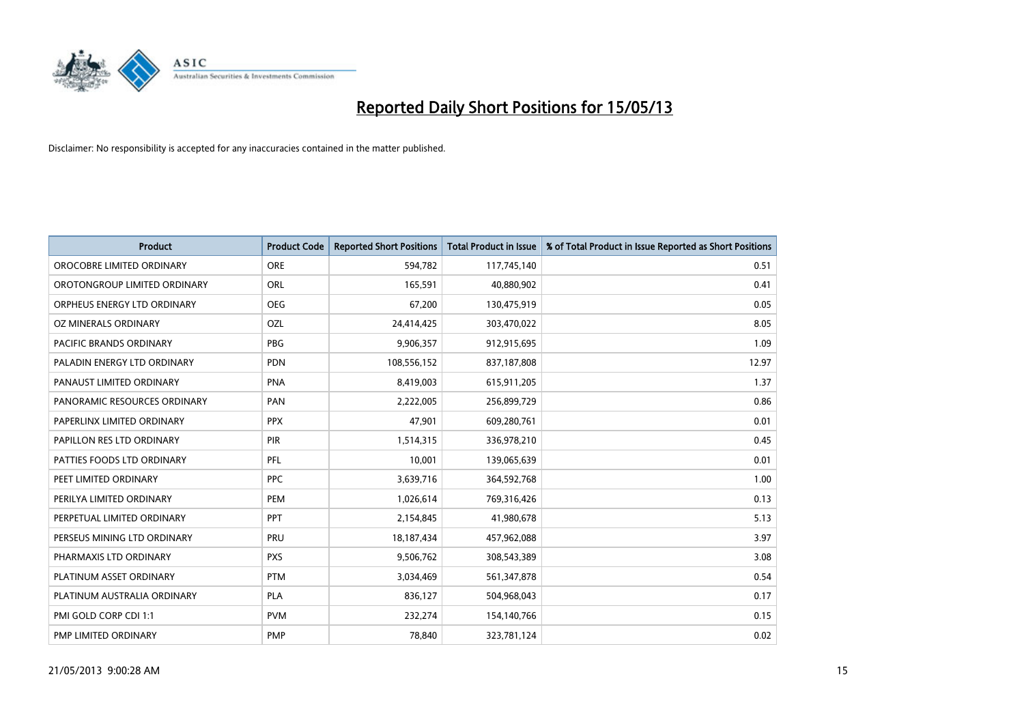

| <b>Product</b>               | <b>Product Code</b> | <b>Reported Short Positions</b> | <b>Total Product in Issue</b> | % of Total Product in Issue Reported as Short Positions |
|------------------------------|---------------------|---------------------------------|-------------------------------|---------------------------------------------------------|
| OROCOBRE LIMITED ORDINARY    | <b>ORE</b>          | 594,782                         | 117,745,140                   | 0.51                                                    |
| OROTONGROUP LIMITED ORDINARY | ORL                 | 165,591                         | 40,880,902                    | 0.41                                                    |
| ORPHEUS ENERGY LTD ORDINARY  | <b>OEG</b>          | 67,200                          | 130,475,919                   | 0.05                                                    |
| OZ MINERALS ORDINARY         | OZL                 | 24,414,425                      | 303,470,022                   | 8.05                                                    |
| PACIFIC BRANDS ORDINARY      | <b>PBG</b>          | 9,906,357                       | 912,915,695                   | 1.09                                                    |
| PALADIN ENERGY LTD ORDINARY  | PDN                 | 108,556,152                     | 837,187,808                   | 12.97                                                   |
| PANAUST LIMITED ORDINARY     | <b>PNA</b>          | 8,419,003                       | 615,911,205                   | 1.37                                                    |
| PANORAMIC RESOURCES ORDINARY | PAN                 | 2,222,005                       | 256,899,729                   | 0.86                                                    |
| PAPERLINX LIMITED ORDINARY   | <b>PPX</b>          | 47,901                          | 609,280,761                   | 0.01                                                    |
| PAPILLON RES LTD ORDINARY    | <b>PIR</b>          | 1,514,315                       | 336,978,210                   | 0.45                                                    |
| PATTIES FOODS LTD ORDINARY   | PFL                 | 10,001                          | 139,065,639                   | 0.01                                                    |
| PEET LIMITED ORDINARY        | <b>PPC</b>          | 3,639,716                       | 364,592,768                   | 1.00                                                    |
| PERILYA LIMITED ORDINARY     | PEM                 | 1,026,614                       | 769,316,426                   | 0.13                                                    |
| PERPETUAL LIMITED ORDINARY   | <b>PPT</b>          | 2,154,845                       | 41,980,678                    | 5.13                                                    |
| PERSEUS MINING LTD ORDINARY  | PRU                 | 18, 187, 434                    | 457,962,088                   | 3.97                                                    |
| PHARMAXIS LTD ORDINARY       | <b>PXS</b>          | 9,506,762                       | 308,543,389                   | 3.08                                                    |
| PLATINUM ASSET ORDINARY      | <b>PTM</b>          | 3,034,469                       | 561,347,878                   | 0.54                                                    |
| PLATINUM AUSTRALIA ORDINARY  | <b>PLA</b>          | 836,127                         | 504,968,043                   | 0.17                                                    |
| PMI GOLD CORP CDI 1:1        | <b>PVM</b>          | 232,274                         | 154,140,766                   | 0.15                                                    |
| PMP LIMITED ORDINARY         | <b>PMP</b>          | 78,840                          | 323,781,124                   | 0.02                                                    |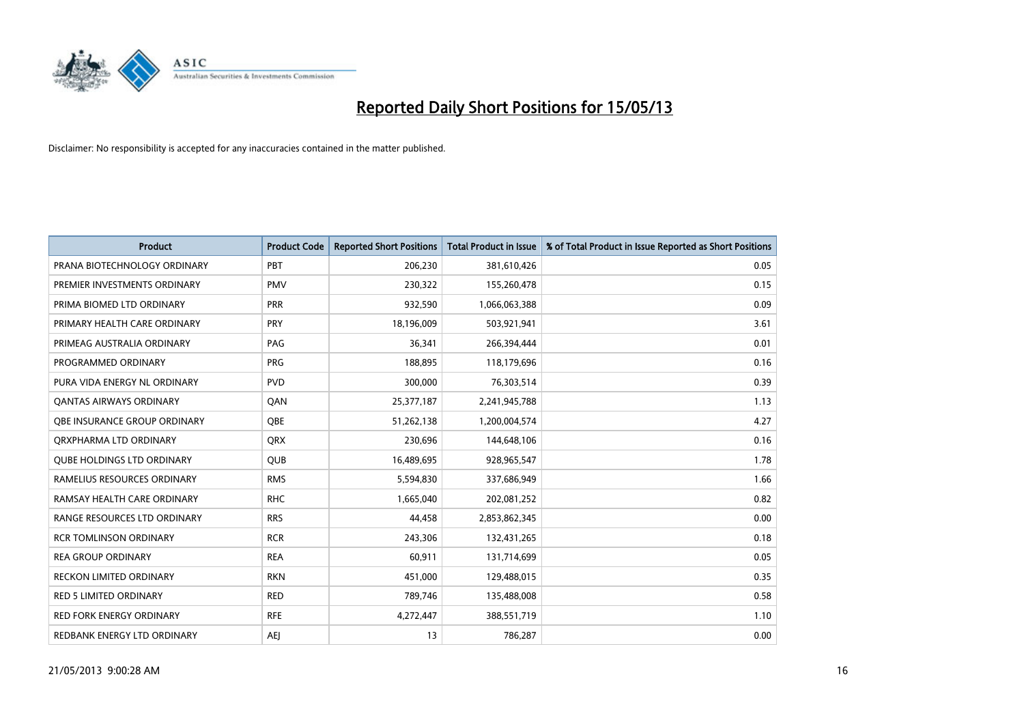

| <b>Product</b>                      | <b>Product Code</b> | <b>Reported Short Positions</b> | <b>Total Product in Issue</b> | % of Total Product in Issue Reported as Short Positions |
|-------------------------------------|---------------------|---------------------------------|-------------------------------|---------------------------------------------------------|
| PRANA BIOTECHNOLOGY ORDINARY        | PBT                 | 206,230                         | 381,610,426                   | 0.05                                                    |
| PREMIER INVESTMENTS ORDINARY        | <b>PMV</b>          | 230,322                         | 155,260,478                   | 0.15                                                    |
| PRIMA BIOMED LTD ORDINARY           | PRR                 | 932,590                         | 1,066,063,388                 | 0.09                                                    |
| PRIMARY HEALTH CARE ORDINARY        | <b>PRY</b>          | 18,196,009                      | 503,921,941                   | 3.61                                                    |
| PRIMEAG AUSTRALIA ORDINARY          | PAG                 | 36,341                          | 266,394,444                   | 0.01                                                    |
| PROGRAMMED ORDINARY                 | <b>PRG</b>          | 188,895                         | 118,179,696                   | 0.16                                                    |
| PURA VIDA ENERGY NL ORDINARY        | <b>PVD</b>          | 300,000                         | 76,303,514                    | 0.39                                                    |
| <b>QANTAS AIRWAYS ORDINARY</b>      | QAN                 | 25,377,187                      | 2,241,945,788                 | 1.13                                                    |
| <b>OBE INSURANCE GROUP ORDINARY</b> | <b>OBE</b>          | 51,262,138                      | 1,200,004,574                 | 4.27                                                    |
| ORXPHARMA LTD ORDINARY              | <b>QRX</b>          | 230,696                         | 144,648,106                   | 0.16                                                    |
| <b>QUBE HOLDINGS LTD ORDINARY</b>   | <b>QUB</b>          | 16,489,695                      | 928,965,547                   | 1.78                                                    |
| RAMELIUS RESOURCES ORDINARY         | <b>RMS</b>          | 5,594,830                       | 337,686,949                   | 1.66                                                    |
| RAMSAY HEALTH CARE ORDINARY         | <b>RHC</b>          | 1,665,040                       | 202,081,252                   | 0.82                                                    |
| RANGE RESOURCES LTD ORDINARY        | <b>RRS</b>          | 44,458                          | 2,853,862,345                 | 0.00                                                    |
| <b>RCR TOMLINSON ORDINARY</b>       | <b>RCR</b>          | 243,306                         | 132,431,265                   | 0.18                                                    |
| <b>REA GROUP ORDINARY</b>           | <b>REA</b>          | 60,911                          | 131,714,699                   | 0.05                                                    |
| RECKON LIMITED ORDINARY             | <b>RKN</b>          | 451,000                         | 129,488,015                   | 0.35                                                    |
| <b>RED 5 LIMITED ORDINARY</b>       | <b>RED</b>          | 789,746                         | 135,488,008                   | 0.58                                                    |
| <b>RED FORK ENERGY ORDINARY</b>     | <b>RFE</b>          | 4,272,447                       | 388,551,719                   | 1.10                                                    |
| REDBANK ENERGY LTD ORDINARY         | <b>AEI</b>          | 13                              | 786,287                       | 0.00                                                    |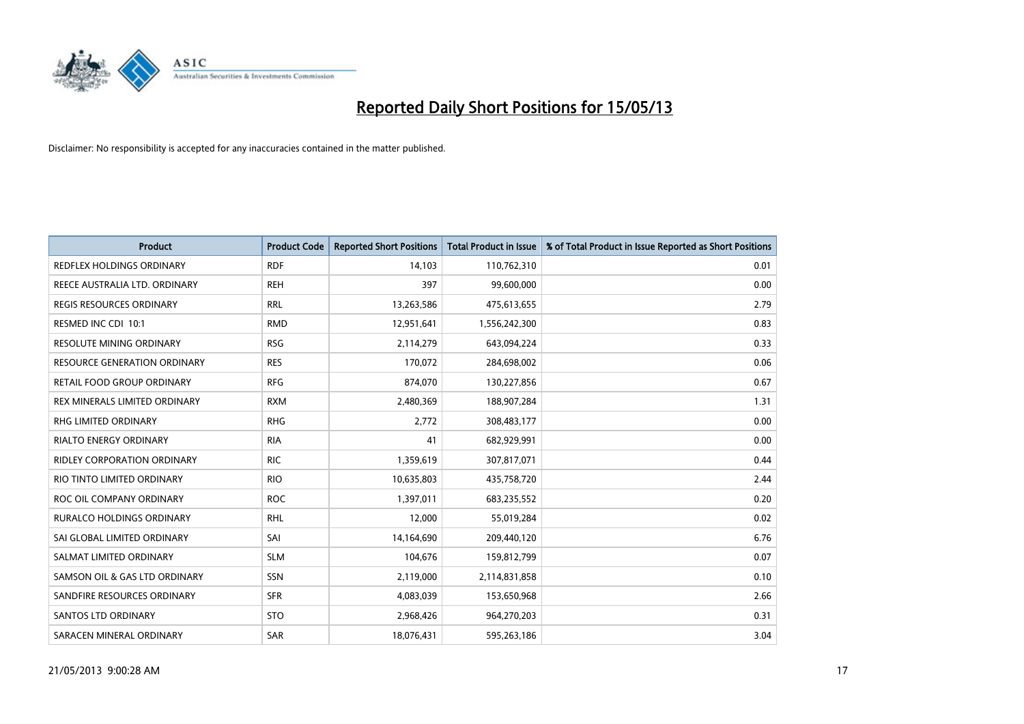

| <b>Product</b>                      | <b>Product Code</b> | <b>Reported Short Positions</b> | <b>Total Product in Issue</b> | % of Total Product in Issue Reported as Short Positions |
|-------------------------------------|---------------------|---------------------------------|-------------------------------|---------------------------------------------------------|
| <b>REDFLEX HOLDINGS ORDINARY</b>    | <b>RDF</b>          | 14,103                          | 110,762,310                   | 0.01                                                    |
| REECE AUSTRALIA LTD. ORDINARY       | <b>REH</b>          | 397                             | 99,600,000                    | 0.00                                                    |
| <b>REGIS RESOURCES ORDINARY</b>     | <b>RRL</b>          | 13,263,586                      | 475,613,655                   | 2.79                                                    |
| RESMED INC CDI 10:1                 | <b>RMD</b>          | 12,951,641                      | 1,556,242,300                 | 0.83                                                    |
| <b>RESOLUTE MINING ORDINARY</b>     | <b>RSG</b>          | 2,114,279                       | 643,094,224                   | 0.33                                                    |
| <b>RESOURCE GENERATION ORDINARY</b> | <b>RES</b>          | 170,072                         | 284,698,002                   | 0.06                                                    |
| RETAIL FOOD GROUP ORDINARY          | <b>RFG</b>          | 874,070                         | 130,227,856                   | 0.67                                                    |
| REX MINERALS LIMITED ORDINARY       | <b>RXM</b>          | 2,480,369                       | 188,907,284                   | 1.31                                                    |
| RHG LIMITED ORDINARY                | <b>RHG</b>          | 2,772                           | 308,483,177                   | 0.00                                                    |
| <b>RIALTO ENERGY ORDINARY</b>       | <b>RIA</b>          | 41                              | 682,929,991                   | 0.00                                                    |
| RIDLEY CORPORATION ORDINARY         | <b>RIC</b>          | 1,359,619                       | 307,817,071                   | 0.44                                                    |
| RIO TINTO LIMITED ORDINARY          | <b>RIO</b>          | 10,635,803                      | 435,758,720                   | 2.44                                                    |
| ROC OIL COMPANY ORDINARY            | <b>ROC</b>          | 1,397,011                       | 683,235,552                   | 0.20                                                    |
| <b>RURALCO HOLDINGS ORDINARY</b>    | <b>RHL</b>          | 12,000                          | 55,019,284                    | 0.02                                                    |
| SAI GLOBAL LIMITED ORDINARY         | SAI                 | 14,164,690                      | 209,440,120                   | 6.76                                                    |
| SALMAT LIMITED ORDINARY             | <b>SLM</b>          | 104,676                         | 159,812,799                   | 0.07                                                    |
| SAMSON OIL & GAS LTD ORDINARY       | SSN                 | 2,119,000                       | 2,114,831,858                 | 0.10                                                    |
| SANDFIRE RESOURCES ORDINARY         | <b>SFR</b>          | 4,083,039                       | 153,650,968                   | 2.66                                                    |
| <b>SANTOS LTD ORDINARY</b>          | <b>STO</b>          | 2,968,426                       | 964,270,203                   | 0.31                                                    |
| SARACEN MINERAL ORDINARY            | SAR                 | 18,076,431                      | 595,263,186                   | 3.04                                                    |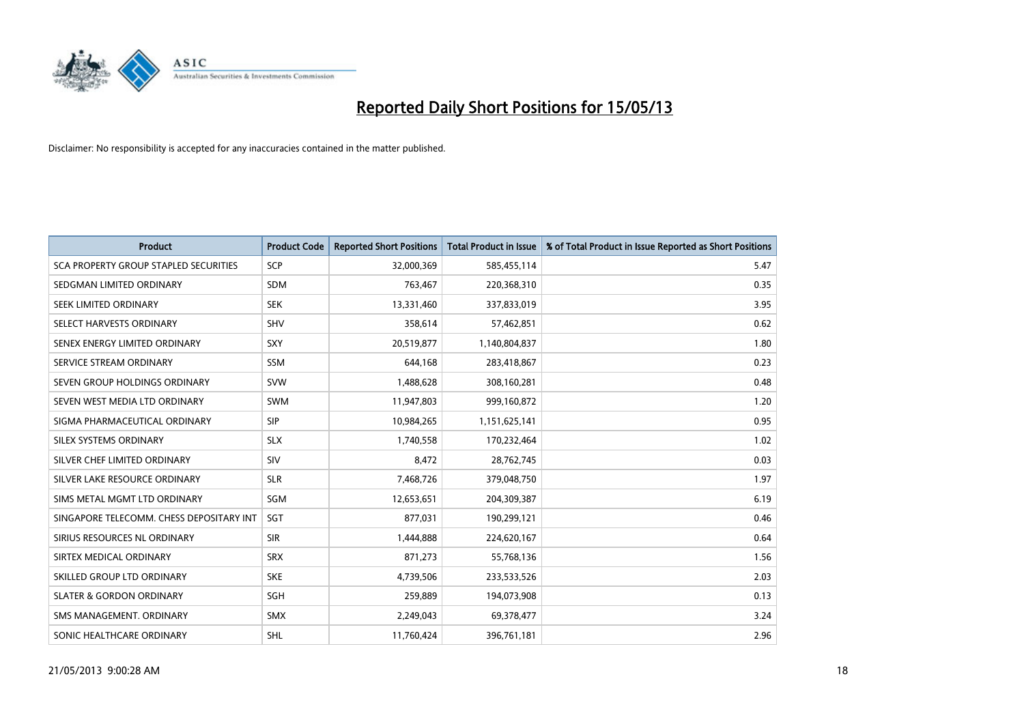

| <b>Product</b>                               | <b>Product Code</b> | <b>Reported Short Positions</b> | <b>Total Product in Issue</b> | % of Total Product in Issue Reported as Short Positions |
|----------------------------------------------|---------------------|---------------------------------|-------------------------------|---------------------------------------------------------|
| <b>SCA PROPERTY GROUP STAPLED SECURITIES</b> | SCP                 | 32,000,369                      | 585,455,114                   | 5.47                                                    |
| SEDGMAN LIMITED ORDINARY                     | <b>SDM</b>          | 763,467                         | 220,368,310                   | 0.35                                                    |
| <b>SEEK LIMITED ORDINARY</b>                 | <b>SEK</b>          | 13,331,460                      | 337,833,019                   | 3.95                                                    |
| SELECT HARVESTS ORDINARY                     | <b>SHV</b>          | 358,614                         | 57,462,851                    | 0.62                                                    |
| SENEX ENERGY LIMITED ORDINARY                | <b>SXY</b>          | 20,519,877                      | 1,140,804,837                 | 1.80                                                    |
| SERVICE STREAM ORDINARY                      | <b>SSM</b>          | 644.168                         | 283,418,867                   | 0.23                                                    |
| SEVEN GROUP HOLDINGS ORDINARY                | <b>SVW</b>          | 1,488,628                       | 308,160,281                   | 0.48                                                    |
| SEVEN WEST MEDIA LTD ORDINARY                | <b>SWM</b>          | 11,947,803                      | 999,160,872                   | 1.20                                                    |
| SIGMA PHARMACEUTICAL ORDINARY                | <b>SIP</b>          | 10,984,265                      | 1,151,625,141                 | 0.95                                                    |
| SILEX SYSTEMS ORDINARY                       | <b>SLX</b>          | 1,740,558                       | 170,232,464                   | 1.02                                                    |
| SILVER CHEF LIMITED ORDINARY                 | SIV                 | 8,472                           | 28,762,745                    | 0.03                                                    |
| SILVER LAKE RESOURCE ORDINARY                | <b>SLR</b>          | 7,468,726                       | 379,048,750                   | 1.97                                                    |
| SIMS METAL MGMT LTD ORDINARY                 | SGM                 | 12,653,651                      | 204,309,387                   | 6.19                                                    |
| SINGAPORE TELECOMM. CHESS DEPOSITARY INT     | <b>SGT</b>          | 877,031                         | 190,299,121                   | 0.46                                                    |
| SIRIUS RESOURCES NL ORDINARY                 | <b>SIR</b>          | 1,444,888                       | 224,620,167                   | 0.64                                                    |
| SIRTEX MEDICAL ORDINARY                      | <b>SRX</b>          | 871,273                         | 55,768,136                    | 1.56                                                    |
| SKILLED GROUP LTD ORDINARY                   | <b>SKE</b>          | 4,739,506                       | 233,533,526                   | 2.03                                                    |
| <b>SLATER &amp; GORDON ORDINARY</b>          | <b>SGH</b>          | 259,889                         | 194,073,908                   | 0.13                                                    |
| SMS MANAGEMENT, ORDINARY                     | <b>SMX</b>          | 2,249,043                       | 69,378,477                    | 3.24                                                    |
| SONIC HEALTHCARE ORDINARY                    | <b>SHL</b>          | 11,760,424                      | 396,761,181                   | 2.96                                                    |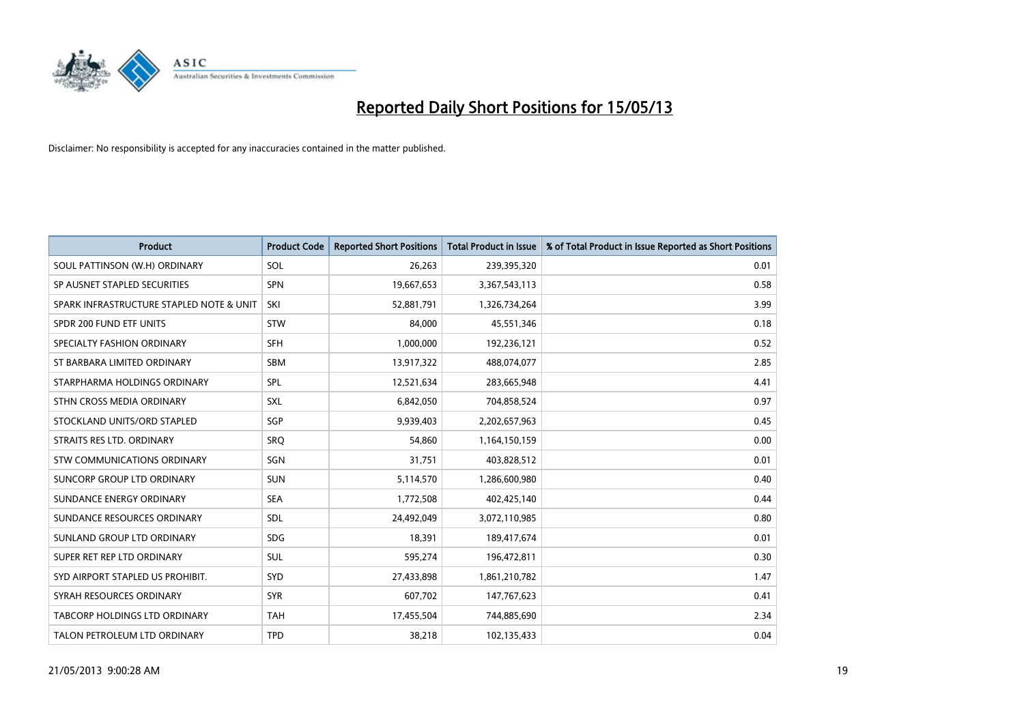

| <b>Product</b>                           | <b>Product Code</b> | <b>Reported Short Positions</b> | <b>Total Product in Issue</b> | % of Total Product in Issue Reported as Short Positions |
|------------------------------------------|---------------------|---------------------------------|-------------------------------|---------------------------------------------------------|
| SOUL PATTINSON (W.H) ORDINARY            | SOL                 | 26,263                          | 239,395,320                   | 0.01                                                    |
| SP AUSNET STAPLED SECURITIES             | <b>SPN</b>          | 19,667,653                      | 3,367,543,113                 | 0.58                                                    |
| SPARK INFRASTRUCTURE STAPLED NOTE & UNIT | SKI                 | 52,881,791                      | 1,326,734,264                 | 3.99                                                    |
| SPDR 200 FUND ETF UNITS                  | <b>STW</b>          | 84,000                          | 45,551,346                    | 0.18                                                    |
| SPECIALTY FASHION ORDINARY               | <b>SFH</b>          | 1,000,000                       | 192,236,121                   | 0.52                                                    |
| ST BARBARA LIMITED ORDINARY              | <b>SBM</b>          | 13,917,322                      | 488,074,077                   | 2.85                                                    |
| STARPHARMA HOLDINGS ORDINARY             | <b>SPL</b>          | 12,521,634                      | 283,665,948                   | 4.41                                                    |
| STHN CROSS MEDIA ORDINARY                | <b>SXL</b>          | 6,842,050                       | 704,858,524                   | 0.97                                                    |
| STOCKLAND UNITS/ORD STAPLED              | SGP                 | 9,939,403                       | 2,202,657,963                 | 0.45                                                    |
| STRAITS RES LTD. ORDINARY                | SRO                 | 54,860                          | 1,164,150,159                 | 0.00                                                    |
| STW COMMUNICATIONS ORDINARY              | SGN                 | 31,751                          | 403,828,512                   | 0.01                                                    |
| SUNCORP GROUP LTD ORDINARY               | <b>SUN</b>          | 5,114,570                       | 1,286,600,980                 | 0.40                                                    |
| SUNDANCE ENERGY ORDINARY                 | <b>SEA</b>          | 1,772,508                       | 402,425,140                   | 0.44                                                    |
| SUNDANCE RESOURCES ORDINARY              | <b>SDL</b>          | 24,492,049                      | 3,072,110,985                 | 0.80                                                    |
| SUNLAND GROUP LTD ORDINARY               | <b>SDG</b>          | 18,391                          | 189,417,674                   | 0.01                                                    |
| SUPER RET REP LTD ORDINARY               | <b>SUL</b>          | 595,274                         | 196,472,811                   | 0.30                                                    |
| SYD AIRPORT STAPLED US PROHIBIT.         | <b>SYD</b>          | 27,433,898                      | 1,861,210,782                 | 1.47                                                    |
| SYRAH RESOURCES ORDINARY                 | <b>SYR</b>          | 607,702                         | 147,767,623                   | 0.41                                                    |
| TABCORP HOLDINGS LTD ORDINARY            | <b>TAH</b>          | 17,455,504                      | 744,885,690                   | 2.34                                                    |
| TALON PETROLEUM LTD ORDINARY             | <b>TPD</b>          | 38,218                          | 102,135,433                   | 0.04                                                    |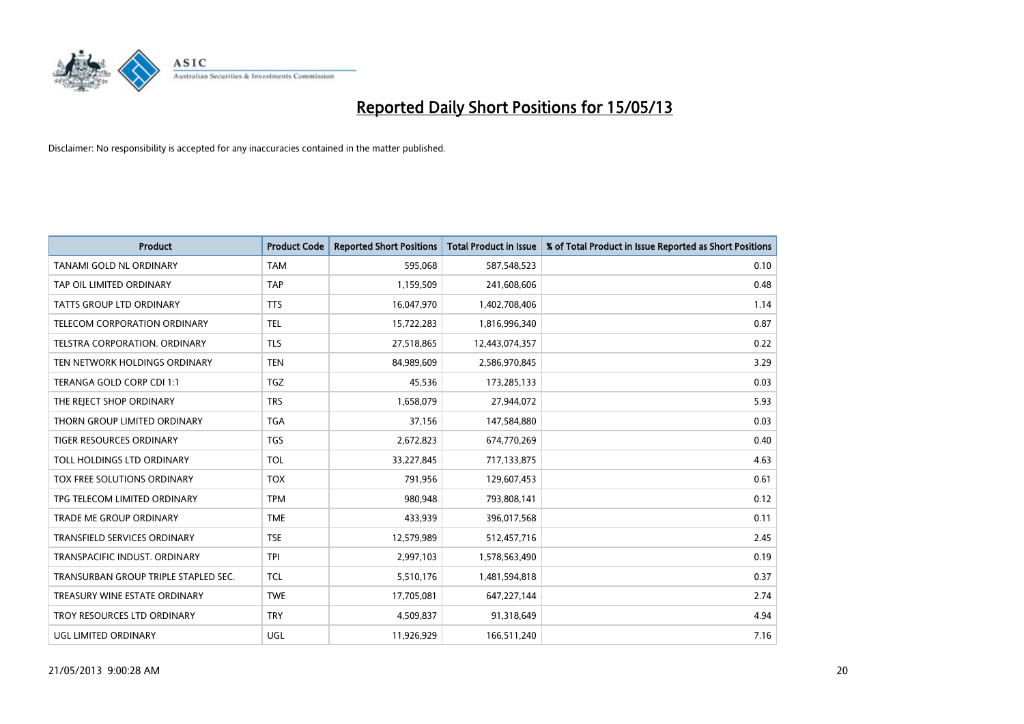

| <b>Product</b>                       | <b>Product Code</b> | <b>Reported Short Positions</b> | <b>Total Product in Issue</b> | % of Total Product in Issue Reported as Short Positions |
|--------------------------------------|---------------------|---------------------------------|-------------------------------|---------------------------------------------------------|
| TANAMI GOLD NL ORDINARY              | <b>TAM</b>          | 595,068                         | 587,548,523                   | 0.10                                                    |
| TAP OIL LIMITED ORDINARY             | <b>TAP</b>          | 1,159,509                       | 241,608,606                   | 0.48                                                    |
| <b>TATTS GROUP LTD ORDINARY</b>      | <b>TTS</b>          | 16,047,970                      | 1,402,708,406                 | 1.14                                                    |
| TELECOM CORPORATION ORDINARY         | <b>TEL</b>          | 15,722,283                      | 1,816,996,340                 | 0.87                                                    |
| <b>TELSTRA CORPORATION, ORDINARY</b> | <b>TLS</b>          | 27,518,865                      | 12,443,074,357                | 0.22                                                    |
| TEN NETWORK HOLDINGS ORDINARY        | <b>TEN</b>          | 84,989,609                      | 2,586,970,845                 | 3.29                                                    |
| TERANGA GOLD CORP CDI 1:1            | <b>TGZ</b>          | 45,536                          | 173,285,133                   | 0.03                                                    |
| THE REJECT SHOP ORDINARY             | <b>TRS</b>          | 1,658,079                       | 27,944,072                    | 5.93                                                    |
| THORN GROUP LIMITED ORDINARY         | <b>TGA</b>          | 37,156                          | 147,584,880                   | 0.03                                                    |
| <b>TIGER RESOURCES ORDINARY</b>      | <b>TGS</b>          | 2,672,823                       | 674,770,269                   | 0.40                                                    |
| TOLL HOLDINGS LTD ORDINARY           | <b>TOL</b>          | 33,227,845                      | 717,133,875                   | 4.63                                                    |
| TOX FREE SOLUTIONS ORDINARY          | <b>TOX</b>          | 791,956                         | 129,607,453                   | 0.61                                                    |
| TPG TELECOM LIMITED ORDINARY         | <b>TPM</b>          | 980,948                         | 793,808,141                   | 0.12                                                    |
| <b>TRADE ME GROUP ORDINARY</b>       | <b>TME</b>          | 433,939                         | 396,017,568                   | 0.11                                                    |
| <b>TRANSFIELD SERVICES ORDINARY</b>  | <b>TSE</b>          | 12,579,989                      | 512,457,716                   | 2.45                                                    |
| TRANSPACIFIC INDUST. ORDINARY        | <b>TPI</b>          | 2,997,103                       | 1,578,563,490                 | 0.19                                                    |
| TRANSURBAN GROUP TRIPLE STAPLED SEC. | <b>TCL</b>          | 5,510,176                       | 1,481,594,818                 | 0.37                                                    |
| TREASURY WINE ESTATE ORDINARY        | <b>TWE</b>          | 17,705,081                      | 647,227,144                   | 2.74                                                    |
| TROY RESOURCES LTD ORDINARY          | <b>TRY</b>          | 4,509,837                       | 91,318,649                    | 4.94                                                    |
| UGL LIMITED ORDINARY                 | UGL                 | 11,926,929                      | 166,511,240                   | 7.16                                                    |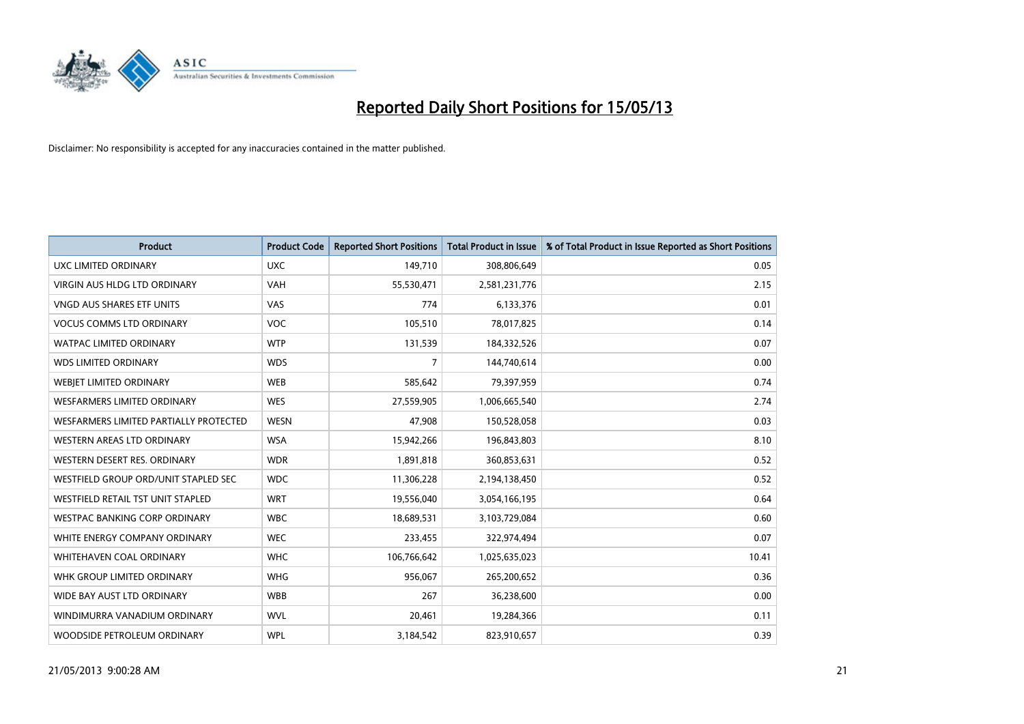

| <b>Product</b>                           | <b>Product Code</b> | <b>Reported Short Positions</b> | <b>Total Product in Issue</b> | % of Total Product in Issue Reported as Short Positions |
|------------------------------------------|---------------------|---------------------------------|-------------------------------|---------------------------------------------------------|
| UXC LIMITED ORDINARY                     | <b>UXC</b>          | 149,710                         | 308,806,649                   | 0.05                                                    |
| VIRGIN AUS HLDG LTD ORDINARY             | <b>VAH</b>          | 55,530,471                      | 2,581,231,776                 | 2.15                                                    |
| <b>VNGD AUS SHARES ETF UNITS</b>         | VAS                 | 774                             | 6,133,376                     | 0.01                                                    |
| <b>VOCUS COMMS LTD ORDINARY</b>          | <b>VOC</b>          | 105,510                         | 78,017,825                    | 0.14                                                    |
| <b>WATPAC LIMITED ORDINARY</b>           | <b>WTP</b>          | 131,539                         | 184,332,526                   | 0.07                                                    |
| <b>WDS LIMITED ORDINARY</b>              | <b>WDS</b>          | 7                               | 144,740,614                   | 0.00                                                    |
| WEBIET LIMITED ORDINARY                  | <b>WEB</b>          | 585,642                         | 79,397,959                    | 0.74                                                    |
| <b>WESFARMERS LIMITED ORDINARY</b>       | <b>WES</b>          | 27,559,905                      | 1,006,665,540                 | 2.74                                                    |
| WESFARMERS LIMITED PARTIALLY PROTECTED   | <b>WESN</b>         | 47,908                          | 150,528,058                   | 0.03                                                    |
| <b>WESTERN AREAS LTD ORDINARY</b>        | <b>WSA</b>          | 15,942,266                      | 196,843,803                   | 8.10                                                    |
| WESTERN DESERT RES. ORDINARY             | <b>WDR</b>          | 1,891,818                       | 360,853,631                   | 0.52                                                    |
| WESTFIELD GROUP ORD/UNIT STAPLED SEC     | <b>WDC</b>          | 11,306,228                      | 2,194,138,450                 | 0.52                                                    |
| <b>WESTFIELD RETAIL TST UNIT STAPLED</b> | <b>WRT</b>          | 19,556,040                      | 3,054,166,195                 | 0.64                                                    |
| WESTPAC BANKING CORP ORDINARY            | <b>WBC</b>          | 18,689,531                      | 3,103,729,084                 | 0.60                                                    |
| WHITE ENERGY COMPANY ORDINARY            | <b>WEC</b>          | 233,455                         | 322,974,494                   | 0.07                                                    |
| WHITEHAVEN COAL ORDINARY                 | <b>WHC</b>          | 106,766,642                     | 1,025,635,023                 | 10.41                                                   |
| WHK GROUP LIMITED ORDINARY               | <b>WHG</b>          | 956,067                         | 265,200,652                   | 0.36                                                    |
| WIDE BAY AUST LTD ORDINARY               | <b>WBB</b>          | 267                             | 36,238,600                    | 0.00                                                    |
| WINDIMURRA VANADIUM ORDINARY             | <b>WVL</b>          | 20,461                          | 19,284,366                    | 0.11                                                    |
| WOODSIDE PETROLEUM ORDINARY              | <b>WPL</b>          | 3,184,542                       | 823,910,657                   | 0.39                                                    |